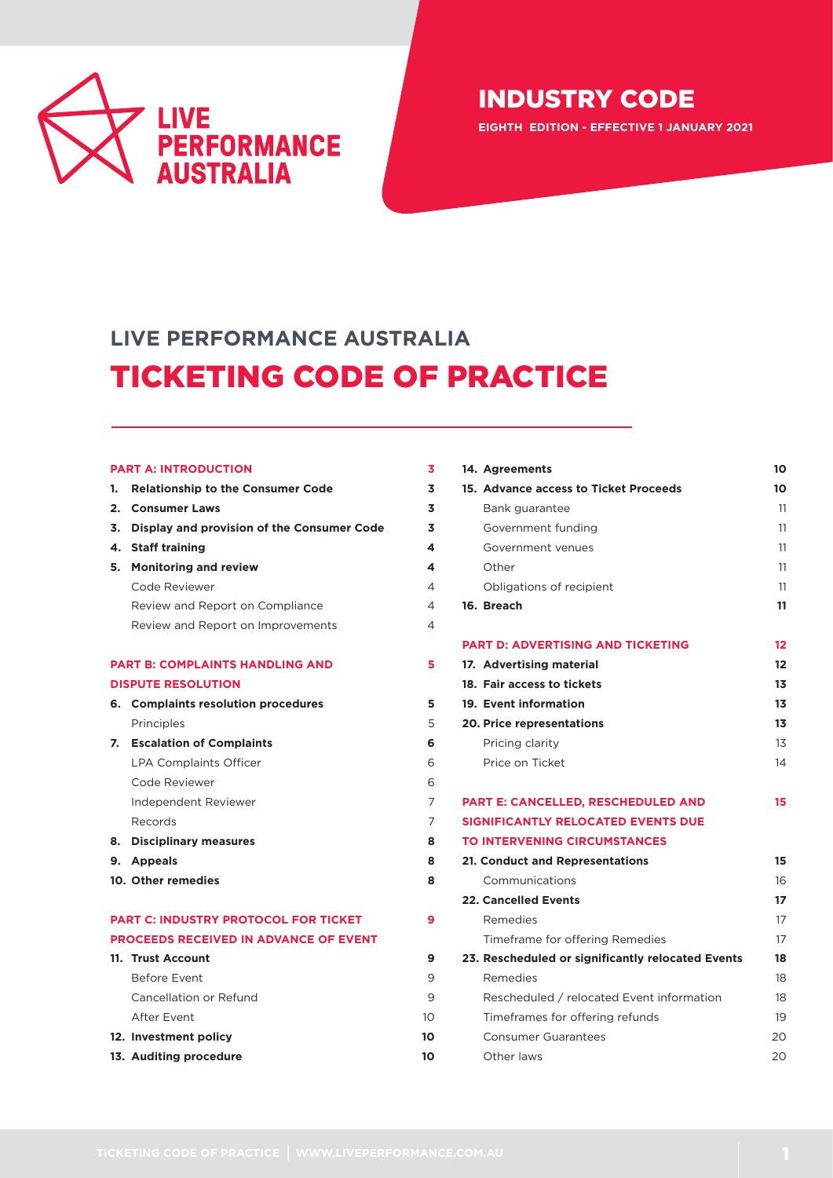

**EIGHTH EDITION - EFFECTIVE 1 JANUARY 2021**

# **LIVE PERFORMANCE AUSTRALIA** TICKETING CODE OF PRACTICE

#### **PART A: INTRODUCTION 3**

**[1. Relationship to the Consumer Code](#page-2-0) 3 2. [Consumer Laws](#page-2-1) 3 3. [Display and provision of the Consumer Code](#page-2-2) 3 4. [Staff training](#page-3-0) 4 5. [Monitoring and review](#page-3-1) 4** Code Reviewer 4 Review and Report on Compliance 4 Review and Report on Improvements 4 **PART B: COMPLAINTS HANDLING AND 5 DISPUTE RESOLUTION 6. [Complaints resolution procedures](#page-4-0) 5** [Principles](#page-4-0) 5 **7. [Escalation of Complaints](#page-5-0) 6** LPA Complaints Officer 6 Code Reviewer 6 Independent Reviewer 7 Records 7 **8. [Disciplinary measures](#page-7-0) 8 9. [Appeals](#page-7-1) 8 [10. Other remedies](#page-7-2) 8 PART C: INDUSTRY PROTOCOL FOR TICKET 9** 

| 14. Agreements                                    | 10                |
|---------------------------------------------------|-------------------|
| 15. Advance access to Ticket Proceeds             | 10                |
| Bank guarantee                                    | 11                |
| Government funding                                | 11                |
| Government venues                                 | 11                |
| Other                                             | 11                |
| Obligations of recipient                          | 11                |
| 16. Breach                                        | 11                |
| <b>PART D: ADVERTISING AND TICKETING</b>          | $12 \overline{ }$ |
| 17. Advertising material                          | 12                |
| 18. Fair access to tickets                        | 13                |
| 19. Event information                             | 13                |
| <b>20. Price representations</b>                  | 13                |
| Pricing clarity                                   | 13                |
| Price on Ticket                                   | 14                |
| PART E: CANCELLED, RESCHEDULED AND                | 15                |
| <b>SIGNIFICANTLY RELOCATED EVENTS DUE</b>         |                   |
| <b>TO INTERVENING CIRCUMSTANCES</b>               |                   |
| 21. Conduct and Representations                   | 15                |
| Communications                                    | 16                |
| <b>22. Cancelled Events</b>                       | 17                |
| Remedies                                          | 17                |
| Timeframe for offering Remedies                   | 17                |
| 23. Rescheduled or significantly relocated Events | 18                |
| Remedies                                          | 18                |
| Rescheduled / relocated Event information         | 18                |
| Timeframes for offering refunds                   | 19                |
| <b>Consumer Guarantees</b>                        | 20                |
| Other laws                                        | 20                |

# **PROCEEDS RECEIVED IN ADVANCE OF EVENT**

**11. [Trust Account](#page-8-0) 9** [Before Event](#page-8-1) 9 Cancellation or Refund 9 [After Event](#page-9-0) 10 **12. [Investment policy](#page-9-1) 10 13. [Auditing procedure](#page-9-2) 10**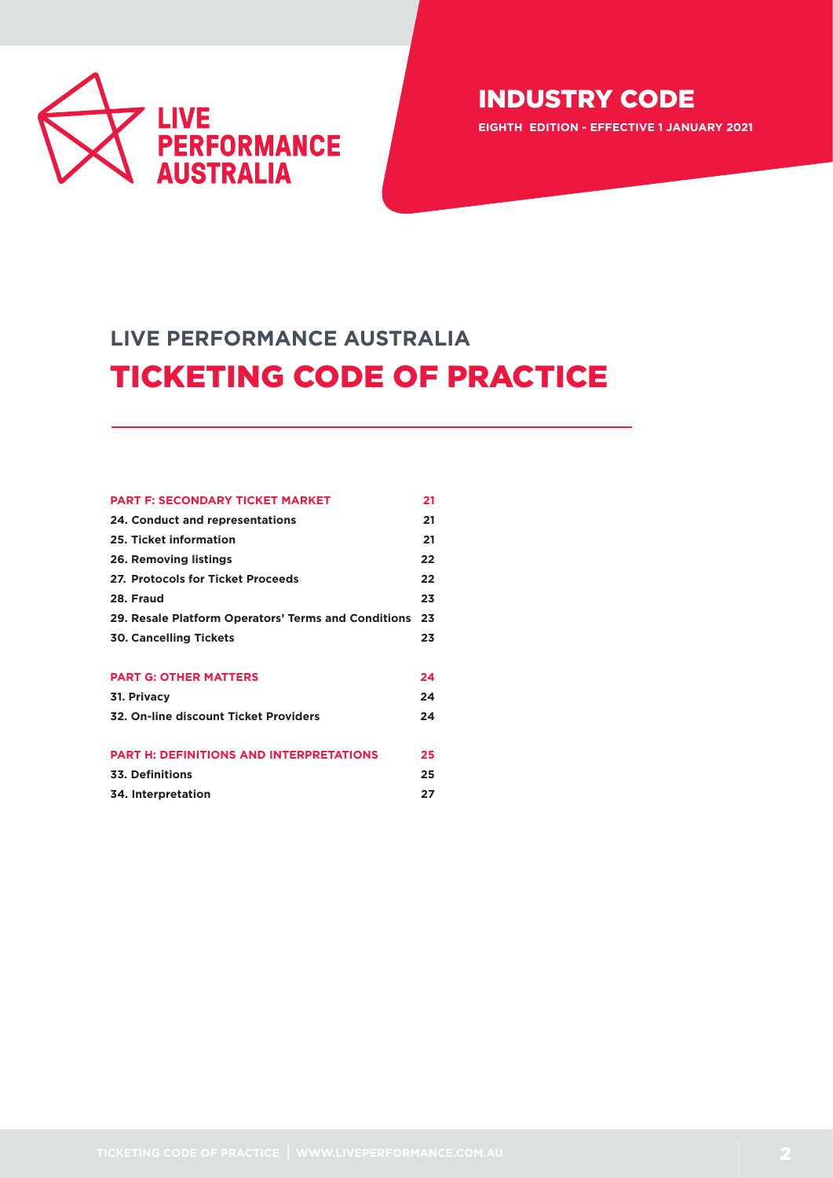

**EIGHTH EDITION - EFFECTIVE 1 JANUARY 2021**

# **LIVE PERFORMANCE AUSTRALIA** TICKETING CODE OF PRACTICE

| <b>PART F: SECONDARY TICKET MARKET</b>              | 21 |
|-----------------------------------------------------|----|
| <b>24. Conduct and representations</b>              | 21 |
| 25. Ticket information                              | 21 |
| 26. Removing listings                               | 22 |
| 27. Protocols for Ticket Proceeds                   | 22 |
| 28. Fraud                                           | 23 |
| 29. Resale Platform Operators' Terms and Conditions | 23 |
| <b>30. Cancelling Tickets</b>                       | 23 |
|                                                     |    |
| <b>PART G: OTHER MATTERS</b>                        | 24 |
| 31. Privacy                                         | 24 |
| 32. On-line discount Ticket Providers               | 24 |
|                                                     |    |
| <b>PART H: DEFINITIONS AND INTERPRETATIONS</b>      | 25 |
| 33. Definitions                                     | 25 |
| 34. Interpretation                                  | 27 |
|                                                     |    |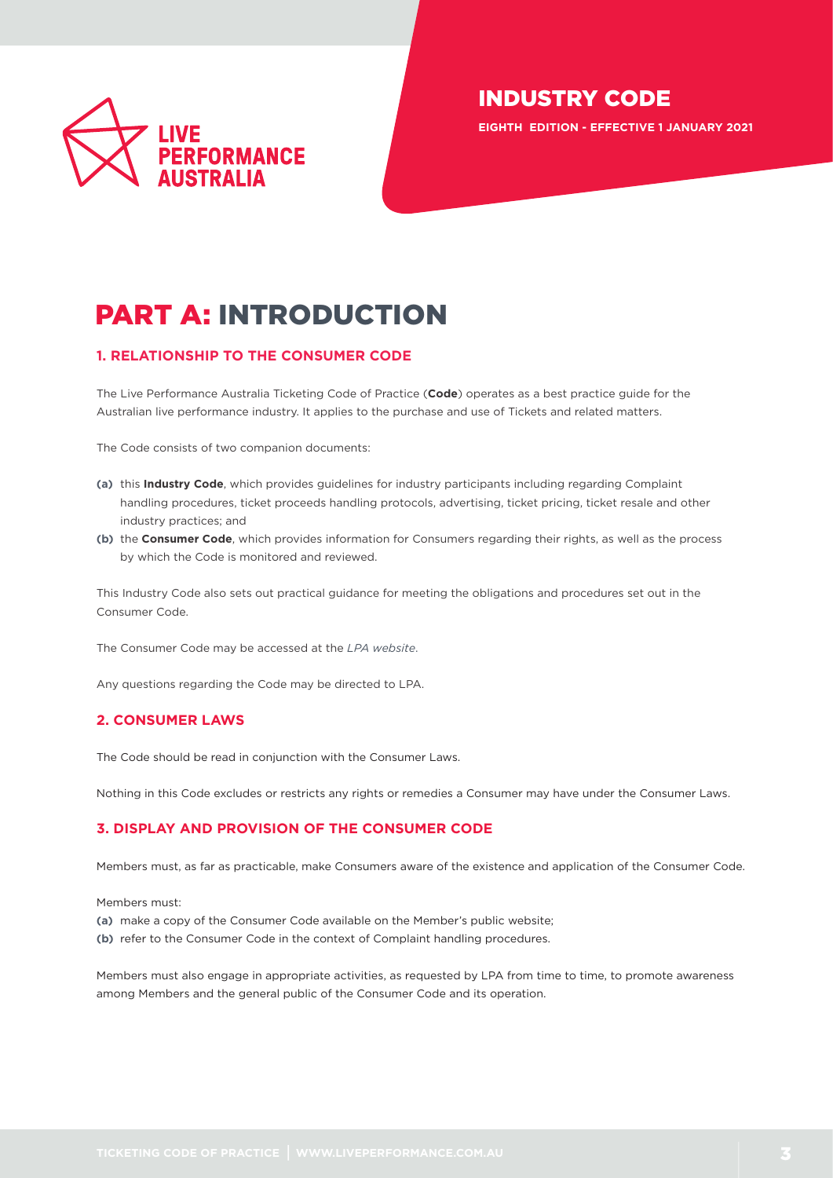

**EIGHTH EDITION - EFFECTIVE 1 JANUARY 2021**

# PART A: INTRODUCTION

## <span id="page-2-0"></span>**1. RELATIONSHIP TO THE CONSUMER CODE**

The Live Performance Australia Ticketing Code of Practice (**Code**) operates as a best practice guide for the Australian live performance industry. It applies to the purchase and use of Tickets and related matters.

The Code consists of two companion documents:

- **(a)** this **Industry Code**, which provides guidelines for industry participants including regarding Complaint handling procedures, ticket proceeds handling protocols, advertising, ticket pricing, ticket resale and other industry practices; and
- **(b)** the **Consumer Code**, which provides information for Consumers regarding their rights, as well as the process by which the Code is monitored and reviewed.

This Industry Code also sets out practical guidance for meeting the obligations and procedures set out in the Consumer Code.

The Consumer Code may be accessed at the *[LPA website](https://liveperformance.com.au/resource?type=919&cat%5B%5D=1086爡)*.

Any questions regarding the Code may be directed to LPA.

## <span id="page-2-1"></span>**2. CONSUMER LAWS**

The Code should be read in conjunction with the Consumer Laws.

Nothing in this Code excludes or restricts any rights or remedies a Consumer may have under the Consumer Laws.

## <span id="page-2-2"></span>**3. DISPLAY AND PROVISION OF THE CONSUMER CODE**

Members must, as far as practicable, make Consumers aware of the existence and application of the Consumer Code.

Members must:

- **(a)** make a copy of the Consumer Code available on the Member's public website;
- **(b)** refer to the Consumer Code in the context of Complaint handling procedures.

Members must also engage in appropriate activities, as requested by LPA from time to time, to promote awareness among Members and the general public of the Consumer Code and its operation.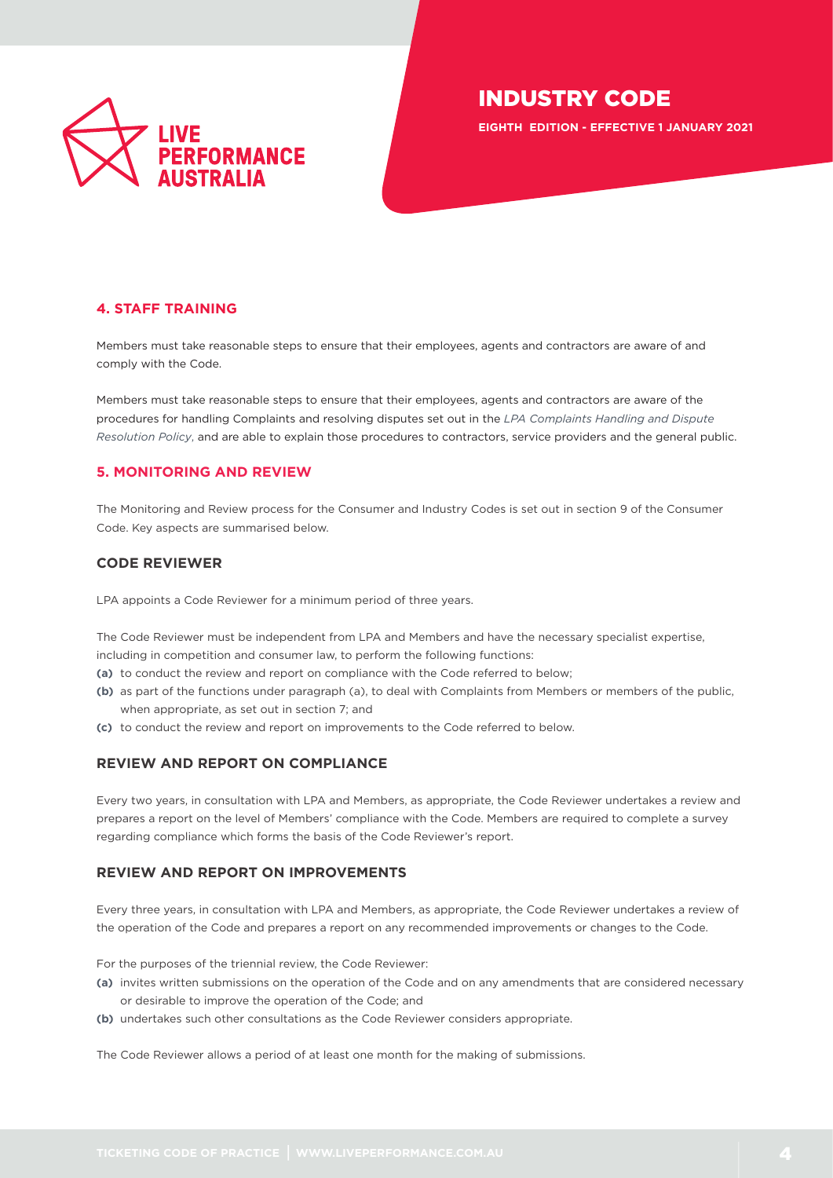

**EIGHTH EDITION - EFFECTIVE 1 JANUARY 2021**

## <span id="page-3-0"></span>**4. STAFF TRAINING**

Members must take reasonable steps to ensure that their employees, agents and contractors are aware of and comply with the Code.

Members must take reasonable steps to ensure that their employees, agents and contractors are aware of the procedures for handling Complaints and resolving disputes set out in the *[LPA Complaints Handling and Dispute](https://liveperformance.com.au/wp-content/uploads/2019/02/LPA-Policy-Complaints-Handling-and-Dispute-Resolution.pdf)  [Resolution Policy](https://liveperformance.com.au/wp-content/uploads/2019/02/LPA-Policy-Complaints-Handling-and-Dispute-Resolution.pdf)*, and are able to explain those procedures to contractors, service providers and the general public.

## <span id="page-3-1"></span>**5. MONITORING AND REVIEW**

The Monitoring and Review process for the Consumer and Industry Codes is set out in section 9 of the Consumer Code. Key aspects are summarised below.

## **CODE REVIEWER**

LPA appoints a Code Reviewer for a minimum period of three years.

The Code Reviewer must be independent from LPA and Members and have the necessary specialist expertise, including in competition and consumer law, to perform the following functions:

- **(a)** to conduct the review and report on compliance with the Code referred to below;
- **(b)** as part of the functions under paragraph (a), to deal with Complaints from Members or members of the public, when appropriate, as set out in section 7; and
- **(c)** to conduct the review and report on improvements to the Code referred to below.

## **REVIEW AND REPORT ON COMPLIANCE**

Every two years, in consultation with LPA and Members, as appropriate, the Code Reviewer undertakes a review and prepares a report on the level of Members' compliance with the Code. Members are required to complete a survey regarding compliance which forms the basis of the Code Reviewer's report.

## **REVIEW AND REPORT ON IMPROVEMENTS**

Every three years, in consultation with LPA and Members, as appropriate, the Code Reviewer undertakes a review of the operation of the Code and prepares a report on any recommended improvements or changes to the Code.

For the purposes of the triennial review, the Code Reviewer:

- **(a)** invites written submissions on the operation of the Code and on any amendments that are considered necessary or desirable to improve the operation of the Code; and
- **(b)** undertakes such other consultations as the Code Reviewer considers appropriate.

The Code Reviewer allows a period of at least one month for the making of submissions.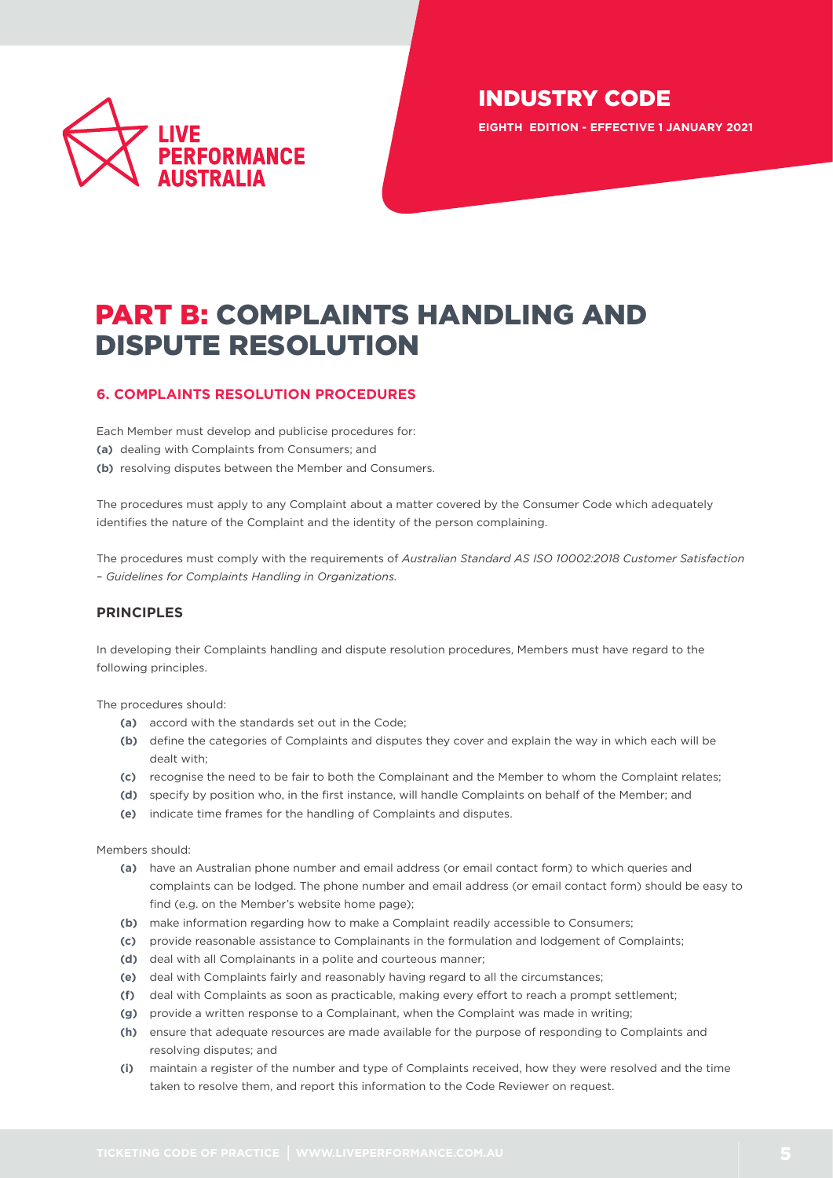

**EIGHTH EDITION - EFFECTIVE 1 JANUARY 2021**

# PART B: COMPLAINTS HANDLING AND DISPUTE RESOLUTION

## <span id="page-4-0"></span>**6. COMPLAINTS RESOLUTION PROCEDURES**

Each Member must develop and publicise procedures for:

- **(a)** dealing with Complaints from Consumers; and
- **(b)** resolving disputes between the Member and Consumers.

The procedures must apply to any Complaint about a matter covered by the Consumer Code which adequately identifies the nature of the Complaint and the identity of the person complaining.

The procedures must comply with the requirements of *Australian Standard AS ISO 10002:2018 Customer Satisfaction – Guidelines for Complaints Handling in Organizations.*

## **PRINCIPLES**

In developing their Complaints handling and dispute resolution procedures, Members must have regard to the following principles.

The procedures should:

- **(a)** accord with the standards set out in the Code;
- **(b)** define the categories of Complaints and disputes they cover and explain the way in which each will be dealt with;
- **(c)** recognise the need to be fair to both the Complainant and the Member to whom the Complaint relates;
- **(d)** specify by position who, in the first instance, will handle Complaints on behalf of the Member; and
- **(e)** indicate time frames for the handling of Complaints and disputes.

Members should:

- **(a)** have an Australian phone number and email address (or email contact form) to which queries and complaints can be lodged. The phone number and email address (or email contact form) should be easy to find (e.g. on the Member's website home page);
- **(b)** make information regarding how to make a Complaint readily accessible to Consumers;
- **(c)** provide reasonable assistance to Complainants in the formulation and lodgement of Complaints;
- **(d)** deal with all Complainants in a polite and courteous manner;
- **(e)** deal with Complaints fairly and reasonably having regard to all the circumstances;
- **(f)** deal with Complaints as soon as practicable, making every effort to reach a prompt settlement;
- **(g)** provide a written response to a Complainant, when the Complaint was made in writing;
- **(h)** ensure that adequate resources are made available for the purpose of responding to Complaints and resolving disputes; and
- **(i)** maintain a register of the number and type of Complaints received, how they were resolved and the time taken to resolve them, and report this information to the Code Reviewer on request.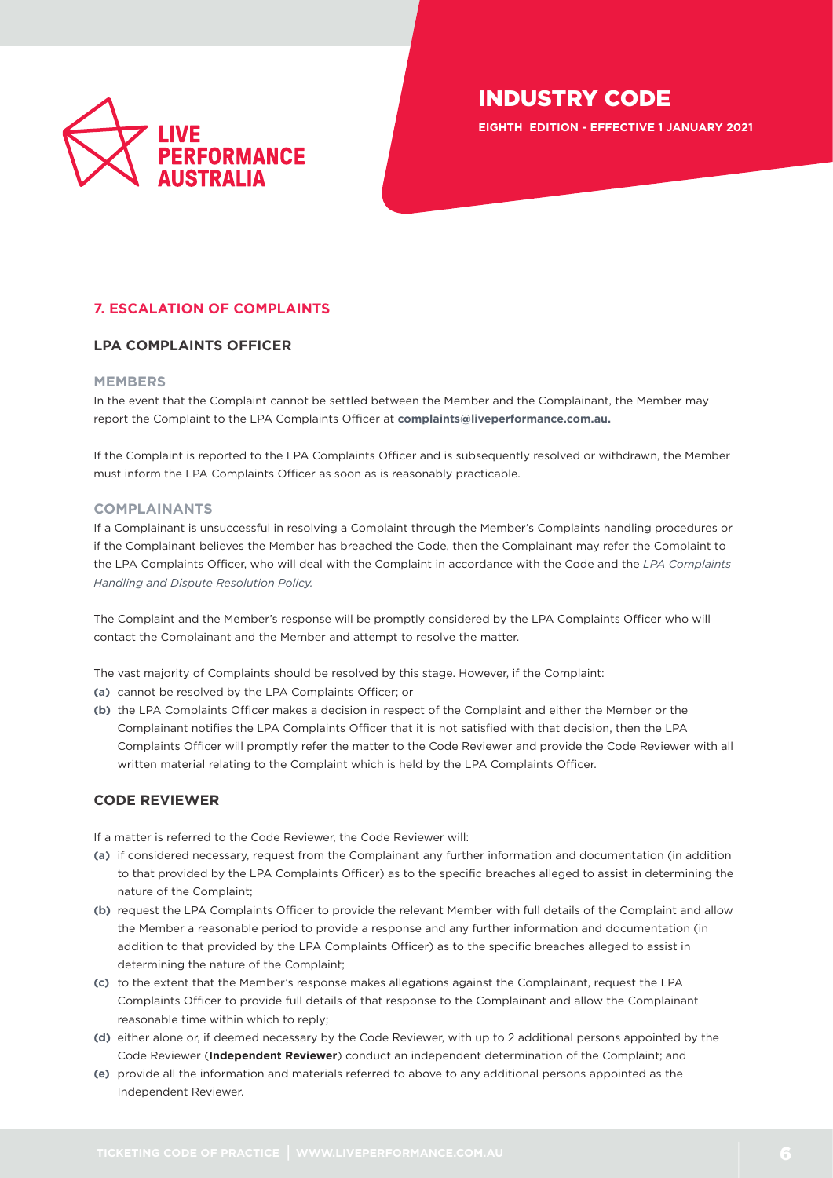

**EIGHTH EDITION - EFFECTIVE 1 JANUARY 2021**

## <span id="page-5-0"></span>**7. ESCALATION OF COMPLAINTS**

#### **LPA COMPLAINTS OFFICER**

#### **MEMBERS**

In the event that the Complaint cannot be settled between the Member and the Complainant, the Member may report the Complaint to the LPA Complaints Officer at **[complaints@liveperformance.com.au](mailto:complaints%40liveperformance.com.au?subject=).**

If the Complaint is reported to the LPA Complaints Officer and is subsequently resolved or withdrawn, the Member must inform the LPA Complaints Officer as soon as is reasonably practicable.

#### **COMPLAINANTS**

If a Complainant is unsuccessful in resolving a Complaint through the Member's Complaints handling procedures or if the Complainant believes the Member has breached the Code, then the Complainant may refer the Complaint to the LPA Complaints Officer, who will deal with the Complaint in accordance with the Code and the *[LPA Complaints](https://liveperformance.com.au/wp-content/uploads/2019/02/LPA-Policy-Complaints-Handling-and-Dispute-Resolution.pdf)  [Handling and Dispute Resolution Policy.](https://liveperformance.com.au/wp-content/uploads/2019/02/LPA-Policy-Complaints-Handling-and-Dispute-Resolution.pdf)*

The Complaint and the Member's response will be promptly considered by the LPA Complaints Officer who will contact the Complainant and the Member and attempt to resolve the matter.

The vast majority of Complaints should be resolved by this stage. However, if the Complaint:

- **(a)** cannot be resolved by the LPA Complaints Officer; or
- **(b)** the LPA Complaints Officer makes a decision in respect of the Complaint and either the Member or the Complainant notifies the LPA Complaints Officer that it is not satisfied with that decision, then the LPA Complaints Officer will promptly refer the matter to the Code Reviewer and provide the Code Reviewer with all written material relating to the Complaint which is held by the LPA Complaints Officer.

#### **CODE REVIEWER**

If a matter is referred to the Code Reviewer, the Code Reviewer will:

- **(a)** if considered necessary, request from the Complainant any further information and documentation (in addition to that provided by the LPA Complaints Officer) as to the specific breaches alleged to assist in determining the nature of the Complaint;
- **(b)** request the LPA Complaints Officer to provide the relevant Member with full details of the Complaint and allow the Member a reasonable period to provide a response and any further information and documentation (in addition to that provided by the LPA Complaints Officer) as to the specific breaches alleged to assist in determining the nature of the Complaint;
- **(c)** to the extent that the Member's response makes allegations against the Complainant, request the LPA Complaints Officer to provide full details of that response to the Complainant and allow the Complainant reasonable time within which to reply;
- **(d)** either alone or, if deemed necessary by the Code Reviewer, with up to 2 additional persons appointed by the Code Reviewer (**Independent Reviewer**) conduct an independent determination of the Complaint; and
- **(e)** provide all the information and materials referred to above to any additional persons appointed as the Independent Reviewer.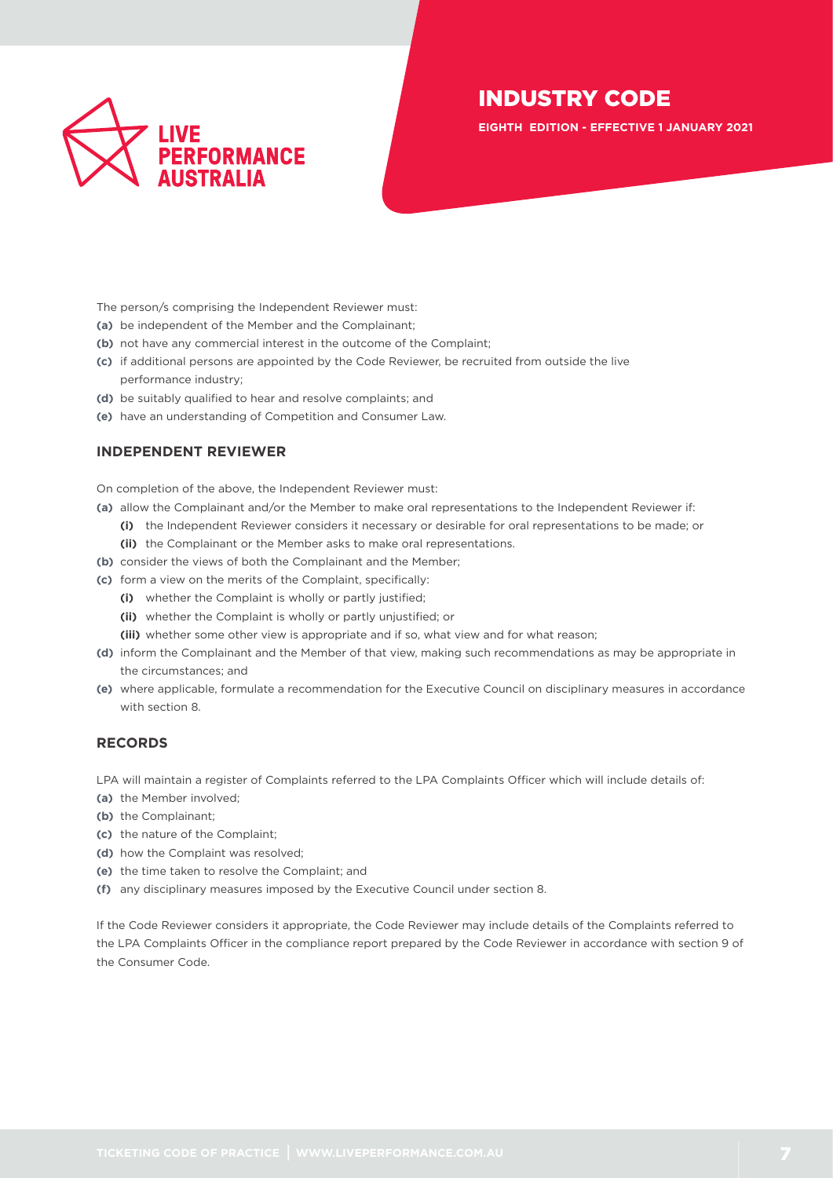

**EIGHTH EDITION - EFFECTIVE 1 JANUARY 2021**

The person/s comprising the Independent Reviewer must:

- **(a)** be independent of the Member and the Complainant;
- **(b)** not have any commercial interest in the outcome of the Complaint;
- **(c)** if additional persons are appointed by the Code Reviewer, be recruited from outside the live performance industry;
- **(d)** be suitably qualified to hear and resolve complaints; and
- **(e)** have an understanding of Competition and Consumer Law.

#### **INDEPENDENT REVIEWER**

On completion of the above, the Independent Reviewer must:

- **(a)** allow the Complainant and/or the Member to make oral representations to the Independent Reviewer if:
	- **(i)** the Independent Reviewer considers it necessary or desirable for oral representations to be made; or **(ii)** the Complainant or the Member asks to make oral representations.
- **(b)** consider the views of both the Complainant and the Member;
- **(c)** form a view on the merits of the Complaint, specifically:
	- **(i)** whether the Complaint is wholly or partly justified;
	- **(ii)** whether the Complaint is wholly or partly unjustified; or
	- **(iii)** whether some other view is appropriate and if so, what view and for what reason;
- **(d)** inform the Complainant and the Member of that view, making such recommendations as may be appropriate in the circumstances; and
- **(e)** where applicable, formulate a recommendation for the Executive Council on disciplinary measures in accordance with section 8.

## **RECORDS**

LPA will maintain a register of Complaints referred to the LPA Complaints Officer which will include details of:

- **(a)** the Member involved;
- **(b)** the Complainant;
- **(c)** the nature of the Complaint;
- **(d)** how the Complaint was resolved;
- **(e)** the time taken to resolve the Complaint; and
- **(f)** any disciplinary measures imposed by the Executive Council under section 8.

If the Code Reviewer considers it appropriate, the Code Reviewer may include details of the Complaints referred to the LPA Complaints Officer in the compliance report prepared by the Code Reviewer in accordance with section 9 of the Consumer Code.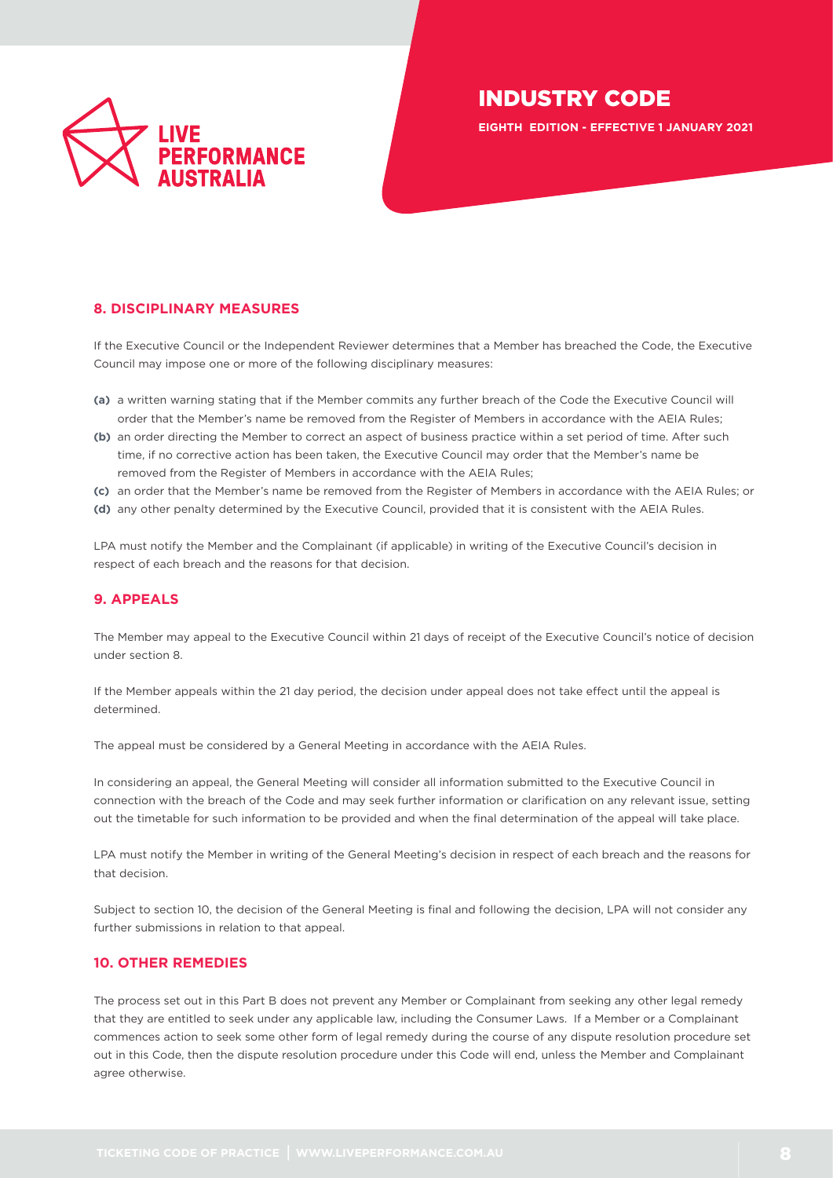

**EIGHTH EDITION - EFFECTIVE 1 JANUARY 2021**

## <span id="page-7-0"></span>**8. DISCIPLINARY MEASURES**

If the Executive Council or the Independent Reviewer determines that a Member has breached the Code, the Executive Council may impose one or more of the following disciplinary measures:

- **(a)** a written warning stating that if the Member commits any further breach of the Code the Executive Council will order that the Member's name be removed from the Register of Members in accordance with the AEIA Rules;
- **(b)** an order directing the Member to correct an aspect of business practice within a set period of time. After such time, if no corrective action has been taken, the Executive Council may order that the Member's name be removed from the Register of Members in accordance with the AEIA Rules;
- **(c)** an order that the Member's name be removed from the Register of Members in accordance with the AEIA Rules; or
- **(d)** any other penalty determined by the Executive Council, provided that it is consistent with the AEIA Rules.

LPA must notify the Member and the Complainant (if applicable) in writing of the Executive Council's decision in respect of each breach and the reasons for that decision.

## <span id="page-7-1"></span>**9. APPEALS**

The Member may appeal to the Executive Council within 21 days of receipt of the Executive Council's notice of decision under section 8.

If the Member appeals within the 21 day period, the decision under appeal does not take effect until the appeal is determined.

The appeal must be considered by a General Meeting in accordance with the AEIA Rules.

In considering an appeal, the General Meeting will consider all information submitted to the Executive Council in connection with the breach of the Code and may seek further information or clarification on any relevant issue, setting out the timetable for such information to be provided and when the final determination of the appeal will take place.

LPA must notify the Member in writing of the General Meeting's decision in respect of each breach and the reasons for that decision.

Subject to section 10, the decision of the General Meeting is final and following the decision, LPA will not consider any further submissions in relation to that appeal.

#### <span id="page-7-2"></span>**10. OTHER REMEDIES**

The process set out in this Part B does not prevent any Member or Complainant from seeking any other legal remedy that they are entitled to seek under any applicable law, including the Consumer Laws. If a Member or a Complainant commences action to seek some other form of legal remedy during the course of any dispute resolution procedure set out in this Code, then the dispute resolution procedure under this Code will end, unless the Member and Complainant agree otherwise.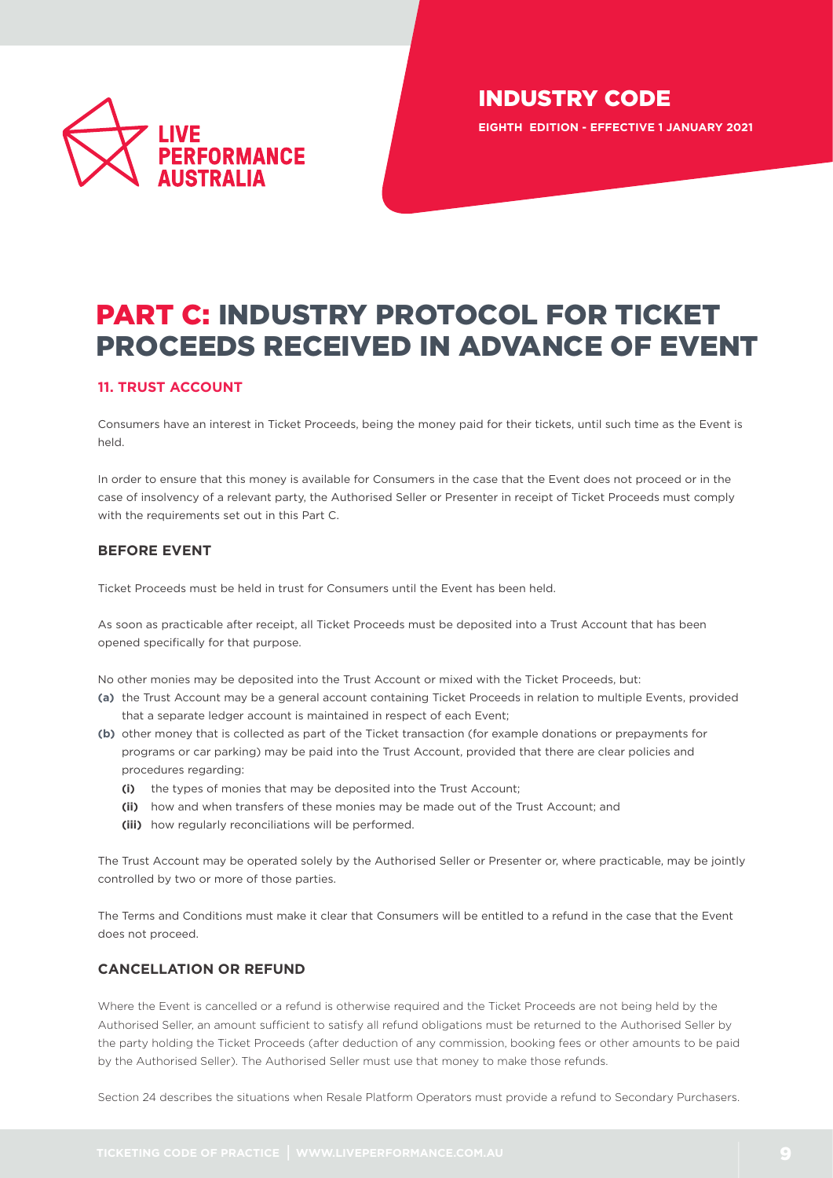

# PART C: INDUSTRY PROTOCOL FOR TICKET PROCEEDS RECEIVED IN ADVANCE OF EVENT

## <span id="page-8-0"></span>**11. TRUST ACCOUNT**

Consumers have an interest in Ticket Proceeds, being the money paid for their tickets, until such time as the Event is held.

In order to ensure that this money is available for Consumers in the case that the Event does not proceed or in the case of insolvency of a relevant party, the Authorised Seller or Presenter in receipt of Ticket Proceeds must comply with the requirements set out in this Part C.

## <span id="page-8-1"></span>**BEFORE EVENT**

Ticket Proceeds must be held in trust for Consumers until the Event has been held.

As soon as practicable after receipt, all Ticket Proceeds must be deposited into a Trust Account that has been opened specifically for that purpose.

No other monies may be deposited into the Trust Account or mixed with the Ticket Proceeds, but:

- **(a)** the Trust Account may be a general account containing Ticket Proceeds in relation to multiple Events, provided that a separate ledger account is maintained in respect of each Event;
- **(b)** other money that is collected as part of the Ticket transaction (for example donations or prepayments for programs or car parking) may be paid into the Trust Account, provided that there are clear policies and procedures regarding:
	- **(i)** the types of monies that may be deposited into the Trust Account;
	- **(ii)** how and when transfers of these monies may be made out of the Trust Account; and
	- **(iii)** how regularly reconciliations will be performed.

The Trust Account may be operated solely by the Authorised Seller or Presenter or, where practicable, may be jointly controlled by two or more of those parties.

The Terms and Conditions must make it clear that Consumers will be entitled to a refund in the case that the Event does not proceed.

## **CANCELLATION OR REFUND**

Where the Event is cancelled or a refund is otherwise required and the Ticket Proceeds are not being held by the Authorised Seller, an amount sufficient to satisfy all refund obligations must be returned to the Authorised Seller by the party holding the Ticket Proceeds (after deduction of any commission, booking fees or other amounts to be paid by the Authorised Seller). The Authorised Seller must use that money to make those refunds.

Section 24 describes the situations when Resale Platform Operators must provide a refund to Secondary Purchasers.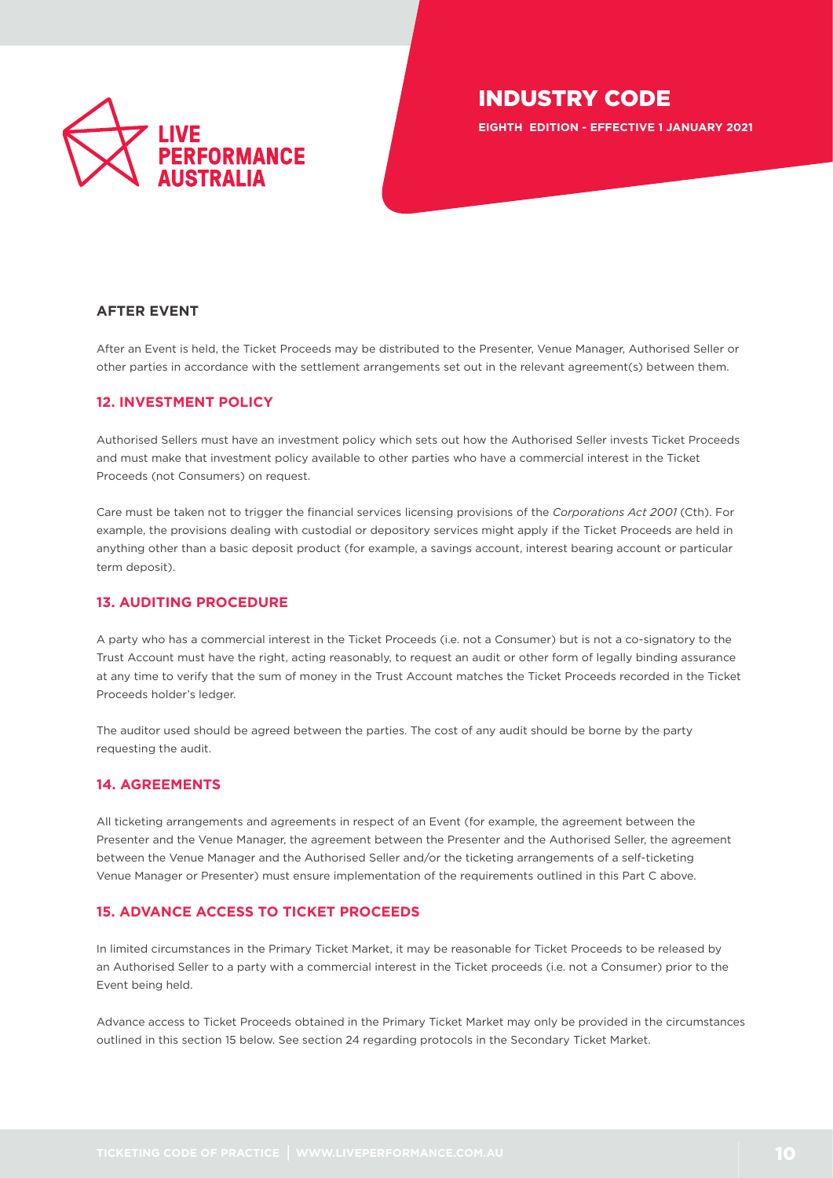

**EIGHTH EDITION - EFFECTIVE 1 JANUARY 2021**

## <span id="page-9-0"></span>**AFTER EVENT**

After an Event is held, the Ticket Proceeds may be distributed to the Presenter, Venue Manager, Authorised Seller or other parties in accordance with the settlement arrangements set out in the relevant agreement(s) between them.

#### <span id="page-9-1"></span>**12. INVESTMENT POLICY**

Authorised Sellers must have an investment policy which sets out how the Authorised Seller invests Ticket Proceeds and must make that investment policy available to other parties who have a commercial interest in the Ticket Proceeds (not Consumers) on request.

Care must be taken not to trigger the financial services licensing provisions of the *Corporations Act 2001* (Cth). For example, the provisions dealing with custodial or depository services might apply if the Ticket Proceeds are held in anything other than a basic deposit product (for example, a savings account, interest bearing account or particular term deposit).

## <span id="page-9-2"></span>**13. AUDITING PROCEDURE**

A party who has a commercial interest in the Ticket Proceeds (i.e. not a Consumer) but is not a co-signatory to the Trust Account must have the right, acting reasonably, to request an audit or other form of legally binding assurance at any time to verify that the sum of money in the Trust Account matches the Ticket Proceeds recorded in the Ticket Proceeds holder's ledger.

The auditor used should be agreed between the parties. The cost of any audit should be borne by the party requesting the audit.

## <span id="page-9-3"></span>**14. AGREEMENTS**

All ticketing arrangements and agreements in respect of an Event (for example, the agreement between the Presenter and the Venue Manager, the agreement between the Presenter and the Authorised Seller, the agreement between the Venue Manager and the Authorised Seller and/or the ticketing arrangements of a self-ticketing Venue Manager or Presenter) must ensure implementation of the requirements outlined in this Part C above.

## <span id="page-9-4"></span>**15. ADVANCE ACCESS TO TICKET PROCEEDS**

In limited circumstances in the Primary Ticket Market, it may be reasonable for Ticket Proceeds to be released by an Authorised Seller to a party with a commercial interest in the Ticket proceeds (i.e. not a Consumer) prior to the Event being held.

Advance access to Ticket Proceeds obtained in the Primary Ticket Market may only be provided in the circumstances outlined in this section 15 below. See section 24 regarding protocols in the Secondary Ticket Market.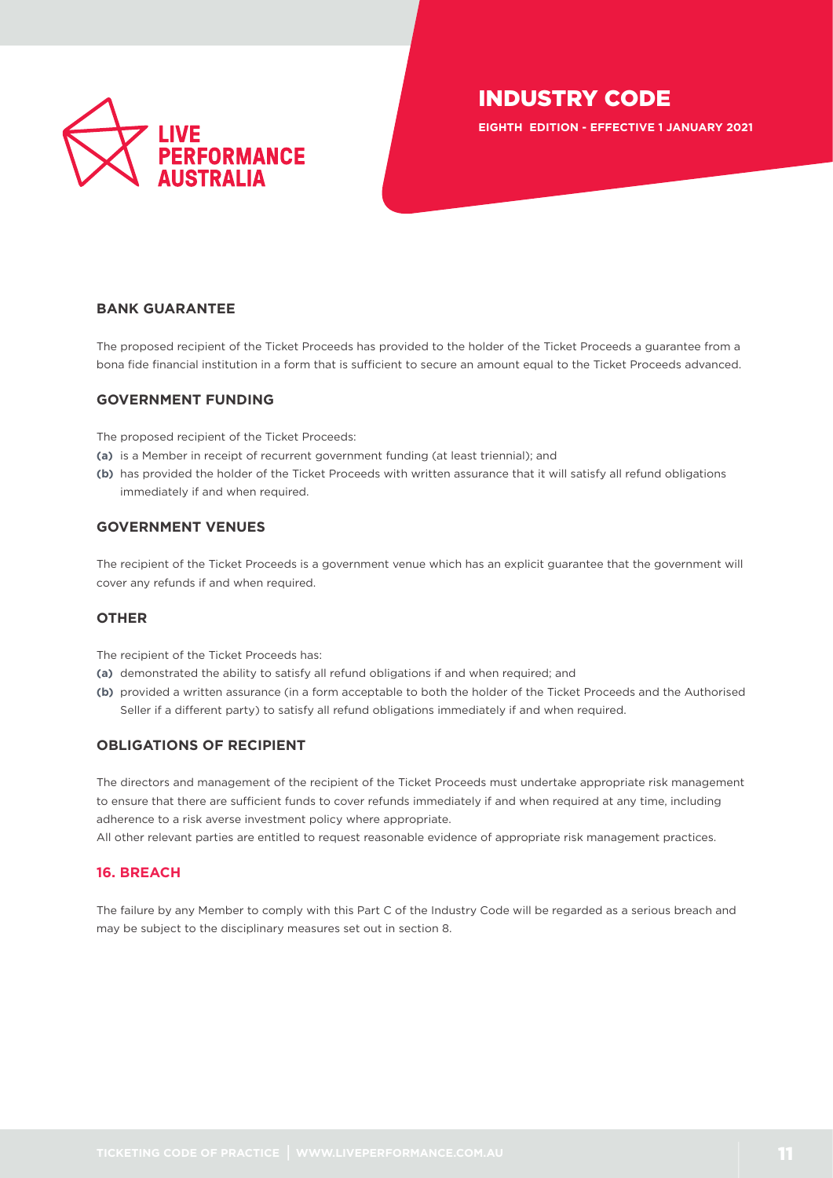

**EIGHTH EDITION - EFFECTIVE 1 JANUARY 2021**

## <span id="page-10-0"></span>**BANK GUARANTEE**

The proposed recipient of the Ticket Proceeds has provided to the holder of the Ticket Proceeds a guarantee from a bona fide financial institution in a form that is sufficient to secure an amount equal to the Ticket Proceeds advanced.

#### **GOVERNMENT FUNDING**

The proposed recipient of the Ticket Proceeds:

- **(a)** is a Member in receipt of recurrent government funding (at least triennial); and
- **(b)** has provided the holder of the Ticket Proceeds with written assurance that it will satisfy all refund obligations immediately if and when required.

## **GOVERNMENT VENUES**

The recipient of the Ticket Proceeds is a government venue which has an explicit guarantee that the government will cover any refunds if and when required.

#### **OTHER**

The recipient of the Ticket Proceeds has:

- **(a)** demonstrated the ability to satisfy all refund obligations if and when required; and
- **(b)** provided a written assurance (in a form acceptable to both the holder of the Ticket Proceeds and the Authorised Seller if a different party) to satisfy all refund obligations immediately if and when required.

## **OBLIGATIONS OF RECIPIENT**

The directors and management of the recipient of the Ticket Proceeds must undertake appropriate risk management to ensure that there are sufficient funds to cover refunds immediately if and when required at any time, including adherence to a risk averse investment policy where appropriate.

All other relevant parties are entitled to request reasonable evidence of appropriate risk management practices.

#### <span id="page-10-1"></span>**16. BREACH**

The failure by any Member to comply with this Part C of the Industry Code will be regarded as a serious breach and may be subject to the disciplinary measures set out in section 8.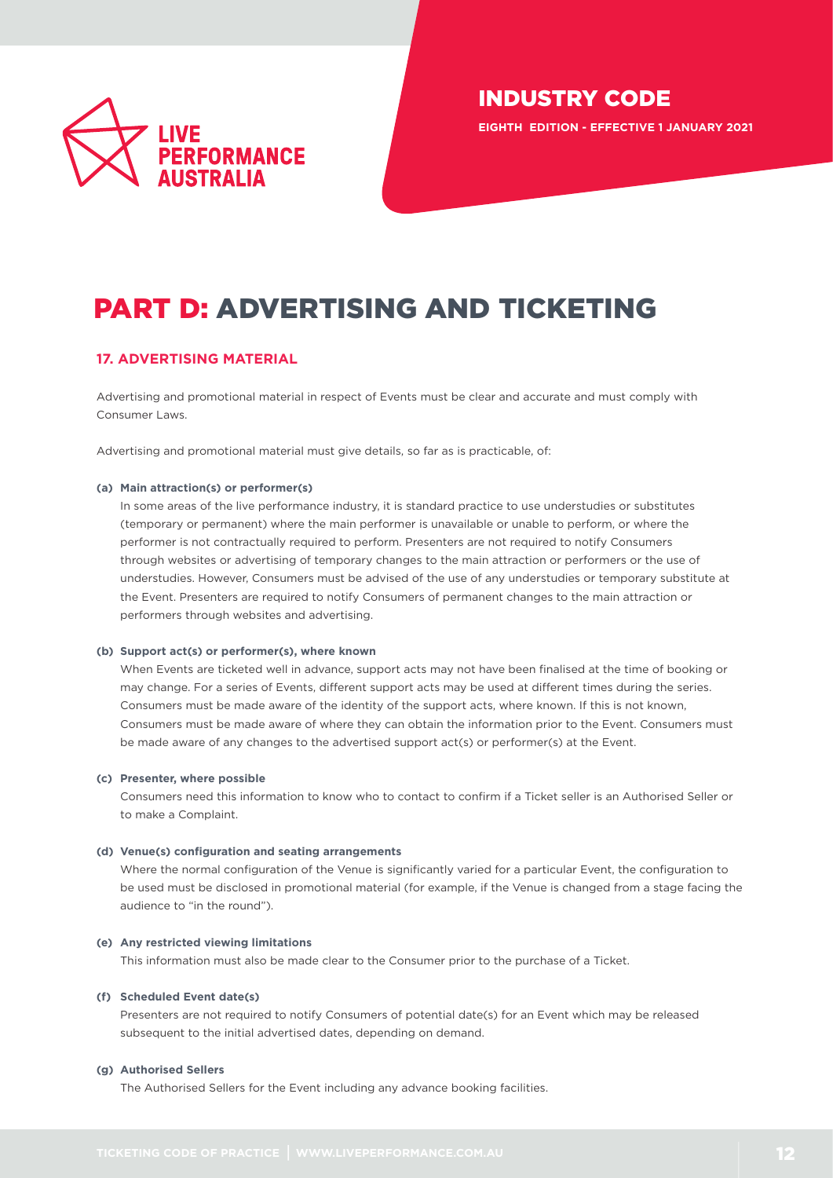

**EIGHTH EDITION - EFFECTIVE 1 JANUARY 2021**

# PART D: ADVERTISING AND TICKETING

## <span id="page-11-0"></span>**17. ADVERTISING MATERIAL**

Advertising and promotional material in respect of Events must be clear and accurate and must comply with Consumer Laws.

Advertising and promotional material must give details, so far as is practicable, of:

#### **(a) Main attraction(s) or performer(s)**

In some areas of the live performance industry, it is standard practice to use understudies or substitutes (temporary or permanent) where the main performer is unavailable or unable to perform, or where the performer is not contractually required to perform. Presenters are not required to notify Consumers through websites or advertising of temporary changes to the main attraction or performers or the use of understudies. However, Consumers must be advised of the use of any understudies or temporary substitute at the Event. Presenters are required to notify Consumers of permanent changes to the main attraction or performers through websites and advertising.

#### **(b) Support act(s) or performer(s), where known**

When Events are ticketed well in advance, support acts may not have been finalised at the time of booking or may change. For a series of Events, different support acts may be used at different times during the series. Consumers must be made aware of the identity of the support acts, where known. If this is not known, Consumers must be made aware of where they can obtain the information prior to the Event. Consumers must be made aware of any changes to the advertised support act(s) or performer(s) at the Event.

#### **(c) Presenter, where possible**

Consumers need this information to know who to contact to confirm if a Ticket seller is an Authorised Seller or to make a Complaint.

#### **(d) Venue(s) configuration and seating arrangements**

Where the normal configuration of the Venue is significantly varied for a particular Event, the configuration to be used must be disclosed in promotional material (for example, if the Venue is changed from a stage facing the audience to "in the round").

#### **(e) Any restricted viewing limitations**

This information must also be made clear to the Consumer prior to the purchase of a Ticket.

#### **(f) Scheduled Event date(s)**

Presenters are not required to notify Consumers of potential date(s) for an Event which may be released subsequent to the initial advertised dates, depending on demand.

#### **(g) Authorised Sellers**

The Authorised Sellers for the Event including any advance booking facilities.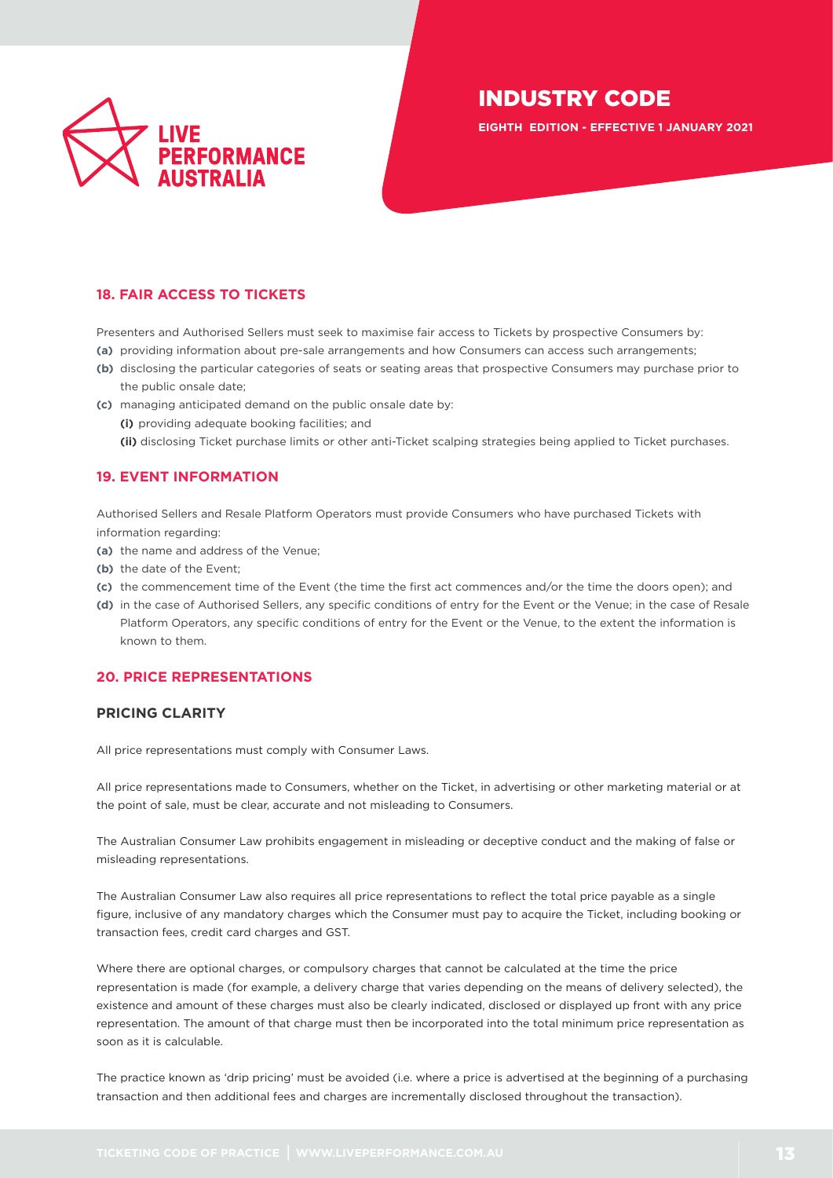

**EIGHTH EDITION - EFFECTIVE 1 JANUARY 2021**

## <span id="page-12-0"></span>**18. FAIR ACCESS TO TICKETS**

Presenters and Authorised Sellers must seek to maximise fair access to Tickets by prospective Consumers by:

- **(a)** providing information about pre-sale arrangements and how Consumers can access such arrangements;
- **(b)** disclosing the particular categories of seats or seating areas that prospective Consumers may purchase prior to the public onsale date;
- **(c)** managing anticipated demand on the public onsale date by: **(i)** providing adequate booking facilities; and **(ii)** disclosing Ticket purchase limits or other anti-Ticket scalping strategies being applied to Ticket purchases.

## <span id="page-12-1"></span>**19. EVENT INFORMATION**

Authorised Sellers and Resale Platform Operators must provide Consumers who have purchased Tickets with information regarding:

- **(a)** the name and address of the Venue;
- **(b)** the date of the Event;
- **(c)** the commencement time of the Event (the time the first act commences and/or the time the doors open); and
- **(d)** in the case of Authorised Sellers, any specific conditions of entry for the Event or the Venue; in the case of Resale Platform Operators, any specific conditions of entry for the Event or the Venue, to the extent the information is known to them.

## <span id="page-12-2"></span>**20. PRICE REPRESENTATIONS**

#### **PRICING CLARITY**

All price representations must comply with Consumer Laws.

All price representations made to Consumers, whether on the Ticket, in advertising or other marketing material or at the point of sale, must be clear, accurate and not misleading to Consumers.

The Australian Consumer Law prohibits engagement in misleading or deceptive conduct and the making of false or misleading representations.

The Australian Consumer Law also requires all price representations to reflect the total price payable as a single figure, inclusive of any mandatory charges which the Consumer must pay to acquire the Ticket, including booking or transaction fees, credit card charges and GST.

Where there are optional charges, or compulsory charges that cannot be calculated at the time the price representation is made (for example, a delivery charge that varies depending on the means of delivery selected), the existence and amount of these charges must also be clearly indicated, disclosed or displayed up front with any price representation. The amount of that charge must then be incorporated into the total minimum price representation as soon as it is calculable.

The practice known as 'drip pricing' must be avoided (i.e. where a price is advertised at the beginning of a purchasing transaction and then additional fees and charges are incrementally disclosed throughout the transaction).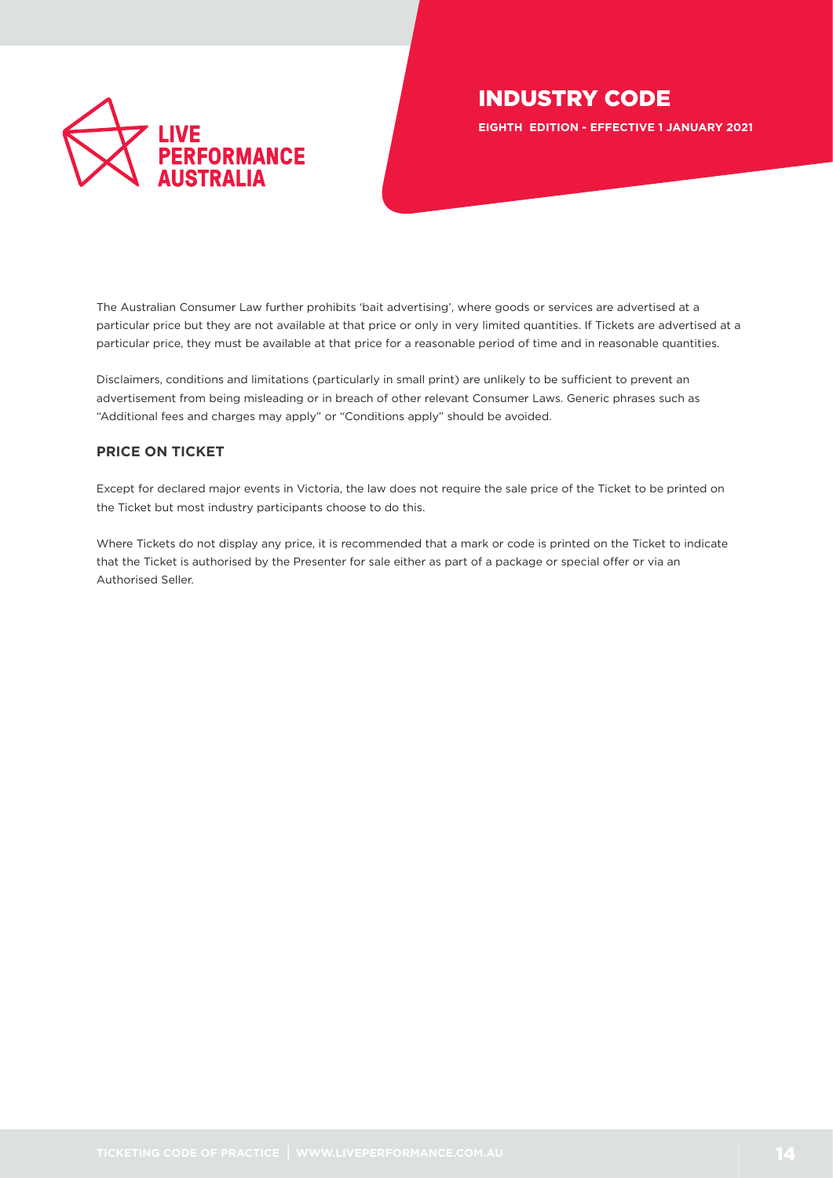

**EIGHTH EDITION - EFFECTIVE 1 JANUARY 2021**

The Australian Consumer Law further prohibits 'bait advertising', where goods or services are advertised at a particular price but they are not available at that price or only in very limited quantities. If Tickets are advertised at a particular price, they must be available at that price for a reasonable period of time and in reasonable quantities.

Disclaimers, conditions and limitations (particularly in small print) are unlikely to be sufficient to prevent an advertisement from being misleading or in breach of other relevant Consumer Laws. Generic phrases such as "Additional fees and charges may apply" or "Conditions apply" should be avoided.

## **PRICE ON TICKET**

Except for declared major events in Victoria, the law does not require the sale price of the Ticket to be printed on the Ticket but most industry participants choose to do this.

Where Tickets do not display any price, it is recommended that a mark or code is printed on the Ticket to indicate that the Ticket is authorised by the Presenter for sale either as part of a package or special offer or via an Authorised Seller.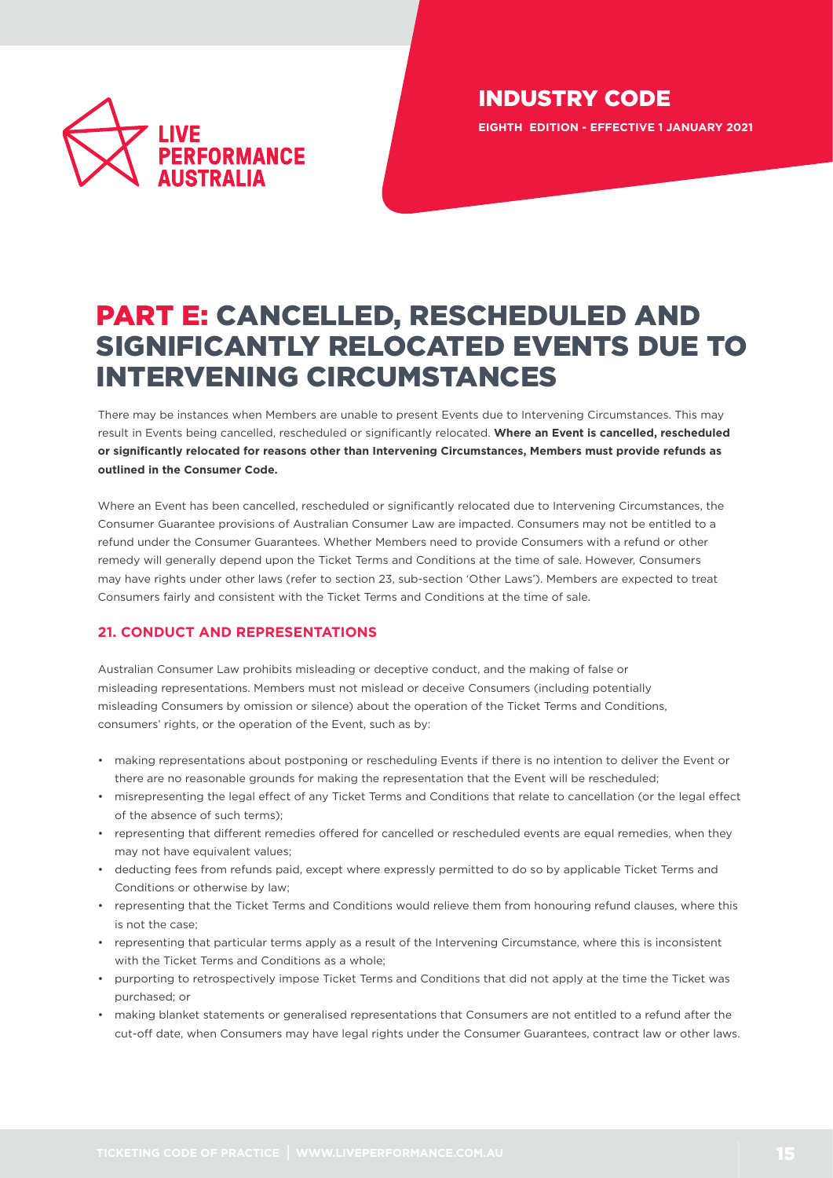

INDUSTRY CODE **EIGHTH EDITION - EFFECTIVE 1 JANUARY 2021**

# PART E: CANCELLED, RESCHEDULED AND SIGNIFICANTLY RELOCATED EVENTS DUE TO INTERVENING CIRCUMSTANCES

There may be instances when Members are unable to present Events due to Intervening Circumstances. This may result in Events being cancelled, rescheduled or significantly relocated. **Where an Event is cancelled, rescheduled or significantly relocated for reasons other than Intervening Circumstances, Members must provide refunds as outlined in the Consumer Code.**

Where an Event has been cancelled, rescheduled or significantly relocated due to Intervening Circumstances, the Consumer Guarantee provisions of Australian Consumer Law are impacted. Consumers may not be entitled to a refund under the Consumer Guarantees. Whether Members need to provide Consumers with a refund or other remedy will generally depend upon the Ticket Terms and Conditions at the time of sale. However, Consumers may have rights under other laws (refer to section 23, sub-section 'Other Laws'). Members are expected to treat Consumers fairly and consistent with the Ticket Terms and Conditions at the time of sale.

## <span id="page-14-0"></span>**21. CONDUCT AND REPRESENTATIONS**

Australian Consumer Law prohibits misleading or deceptive conduct, and the making of false or misleading representations. Members must not mislead or deceive Consumers (including potentially misleading Consumers by omission or silence) about the operation of the Ticket Terms and Conditions, consumers' rights, or the operation of the Event, such as by:

- making representations about postponing or rescheduling Events if there is no intention to deliver the Event or there are no reasonable grounds for making the representation that the Event will be rescheduled;
- misrepresenting the legal effect of any Ticket Terms and Conditions that relate to cancellation (or the legal effect of the absence of such terms);
- representing that different remedies offered for cancelled or rescheduled events are equal remedies, when they may not have equivalent values;
- deducting fees from refunds paid, except where expressly permitted to do so by applicable Ticket Terms and Conditions or otherwise by law;
- representing that the Ticket Terms and Conditions would relieve them from honouring refund clauses, where this is not the case;
- representing that particular terms apply as a result of the Intervening Circumstance, where this is inconsistent with the Ticket Terms and Conditions as a whole;
- purporting to retrospectively impose Ticket Terms and Conditions that did not apply at the time the Ticket was purchased; or
- making blanket statements or generalised representations that Consumers are not entitled to a refund after the cut-off date, when Consumers may have legal rights under the Consumer Guarantees, contract law or other laws.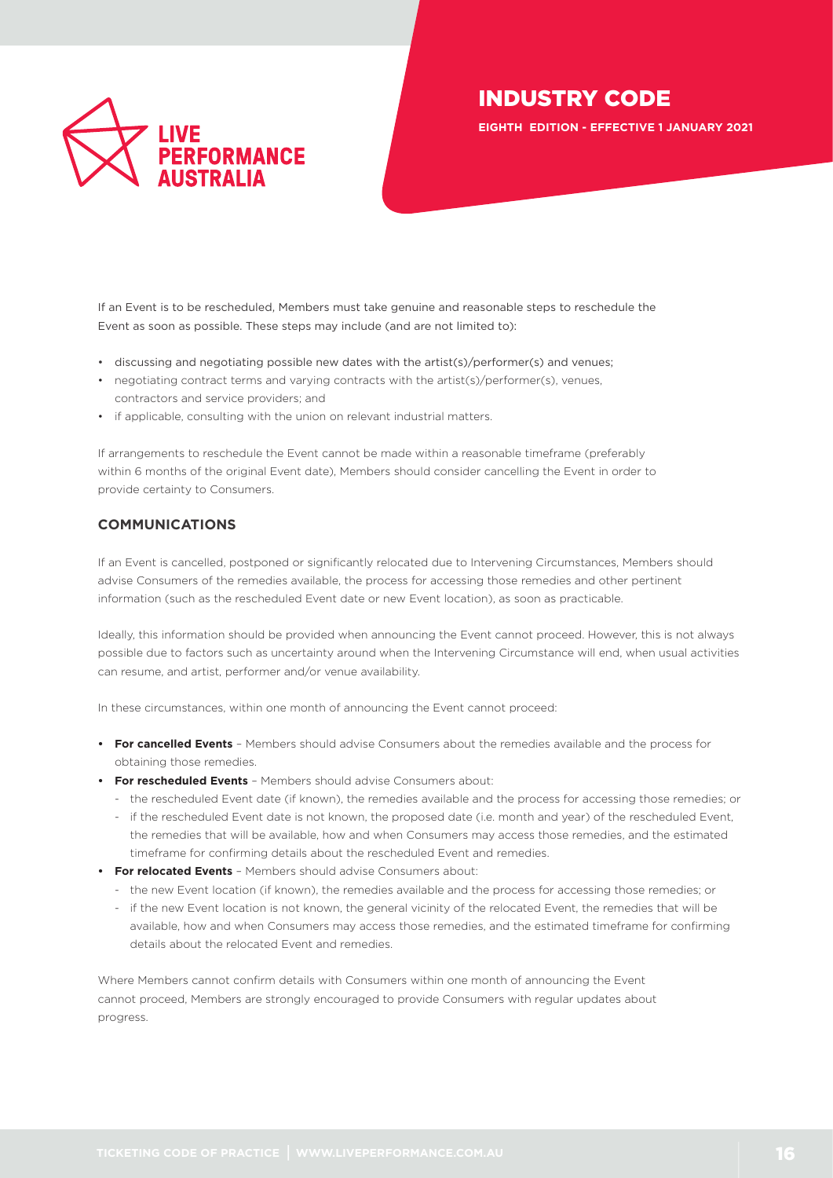

**EIGHTH EDITION - EFFECTIVE 1 JANUARY 2021**

If an Event is to be rescheduled, Members must take genuine and reasonable steps to reschedule the Event as soon as possible. These steps may include (and are not limited to):

- discussing and negotiating possible new dates with the artist(s)/performer(s) and venues;
- negotiating contract terms and varying contracts with the artist(s)/performer(s), venues, contractors and service providers; and
- if applicable, consulting with the union on relevant industrial matters.

If arrangements to reschedule the Event cannot be made within a reasonable timeframe (preferably within 6 months of the original Event date), Members should consider cancelling the Event in order to provide certainty to Consumers.

## **COMMUNICATIONS**

If an Event is cancelled, postponed or significantly relocated due to Intervening Circumstances, Members should advise Consumers of the remedies available, the process for accessing those remedies and other pertinent information (such as the rescheduled Event date or new Event location), as soon as practicable.

Ideally, this information should be provided when announcing the Event cannot proceed. However, this is not always possible due to factors such as uncertainty around when the Intervening Circumstance will end, when usual activities can resume, and artist, performer and/or venue availability.

In these circumstances, within one month of announcing the Event cannot proceed:

- **• For cancelled Events** Members should advise Consumers about the remedies available and the process for obtaining those remedies.
- **• For rescheduled Events** Members should advise Consumers about:
	- the rescheduled Event date (if known), the remedies available and the process for accessing those remedies; or
	- if the rescheduled Event date is not known, the proposed date (i.e. month and year) of the rescheduled Event, the remedies that will be available, how and when Consumers may access those remedies, and the estimated timeframe for confirming details about the rescheduled Event and remedies.
- **• For relocated Events** Members should advise Consumers about:
	- the new Event location (if known), the remedies available and the process for accessing those remedies; or
	- if the new Event location is not known, the general vicinity of the relocated Event, the remedies that will be available, how and when Consumers may access those remedies, and the estimated timeframe for confirming details about the relocated Event and remedies.

Where Members cannot confirm details with Consumers within one month of announcing the Event cannot proceed, Members are strongly encouraged to provide Consumers with regular updates about progress.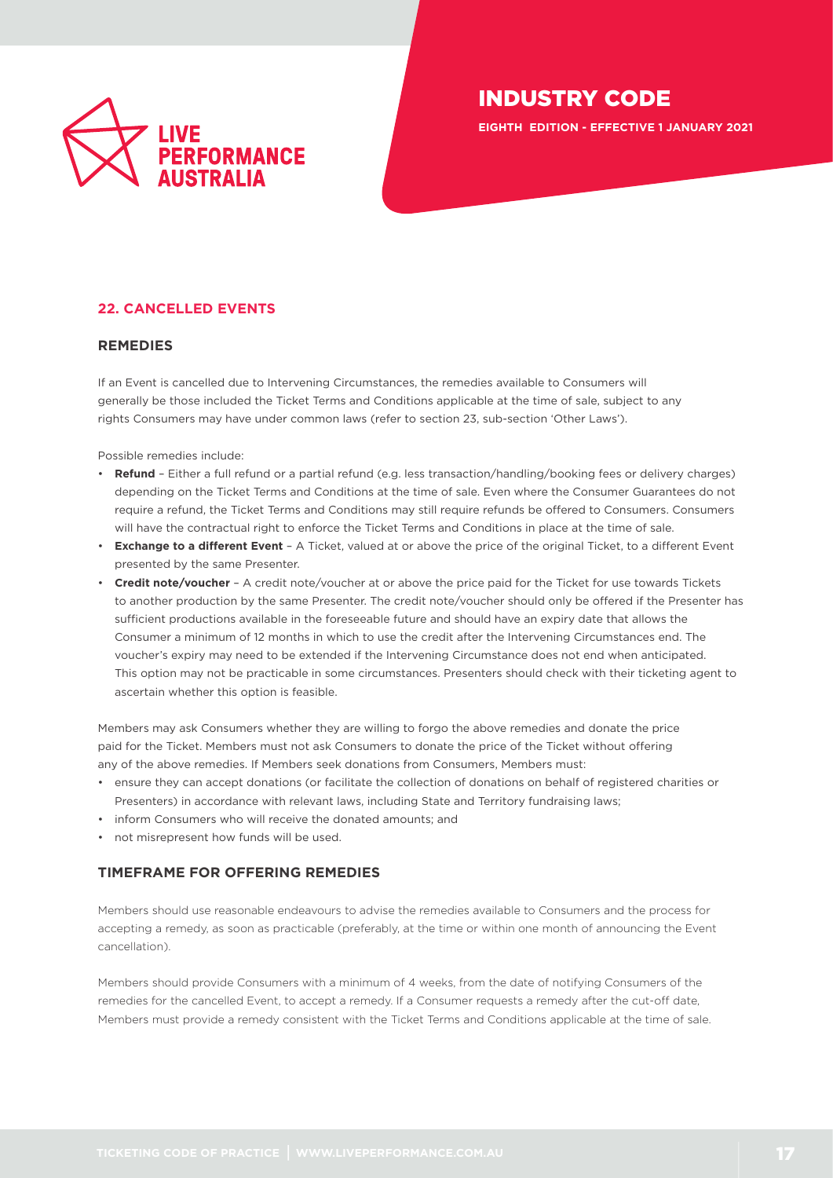

**EIGHTH EDITION - EFFECTIVE 1 JANUARY 2021**

## <span id="page-16-0"></span>**22. CANCELLED EVENTS**

#### **REMEDIES**

If an Event is cancelled due to Intervening Circumstances, the remedies available to Consumers will generally be those included the Ticket Terms and Conditions applicable at the time of sale, subject to any rights Consumers may have under common laws (refer to section 23, sub-section 'Other Laws').

Possible remedies include:

- **Refund** Either a full refund or a partial refund (e.g. less transaction/handling/booking fees or delivery charges) depending on the Ticket Terms and Conditions at the time of sale. Even where the Consumer Guarantees do not require a refund, the Ticket Terms and Conditions may still require refunds be offered to Consumers. Consumers will have the contractual right to enforce the Ticket Terms and Conditions in place at the time of sale.
- **Exchange to a different Event** A Ticket, valued at or above the price of the original Ticket, to a different Event presented by the same Presenter.
- **Credit note/voucher** A credit note/voucher at or above the price paid for the Ticket for use towards Tickets to another production by the same Presenter. The credit note/voucher should only be offered if the Presenter has sufficient productions available in the foreseeable future and should have an expiry date that allows the Consumer a minimum of 12 months in which to use the credit after the Intervening Circumstances end. The voucher's expiry may need to be extended if the Intervening Circumstance does not end when anticipated. This option may not be practicable in some circumstances. Presenters should check with their ticketing agent to ascertain whether this option is feasible.

Members may ask Consumers whether they are willing to forgo the above remedies and donate the price paid for the Ticket. Members must not ask Consumers to donate the price of the Ticket without offering any of the above remedies. If Members seek donations from Consumers, Members must:

- ensure they can accept donations (or facilitate the collection of donations on behalf of registered charities or Presenters) in accordance with relevant laws, including State and Territory fundraising laws;
- inform Consumers who will receive the donated amounts; and
- not misrepresent how funds will be used.

#### **TIMEFRAME FOR OFFERING REMEDIES**

Members should use reasonable endeavours to advise the remedies available to Consumers and the process for accepting a remedy, as soon as practicable (preferably, at the time or within one month of announcing the Event cancellation).

Members should provide Consumers with a minimum of 4 weeks, from the date of notifying Consumers of the remedies for the cancelled Event, to accept a remedy. If a Consumer requests a remedy after the cut-off date, Members must provide a remedy consistent with the Ticket Terms and Conditions applicable at the time of sale.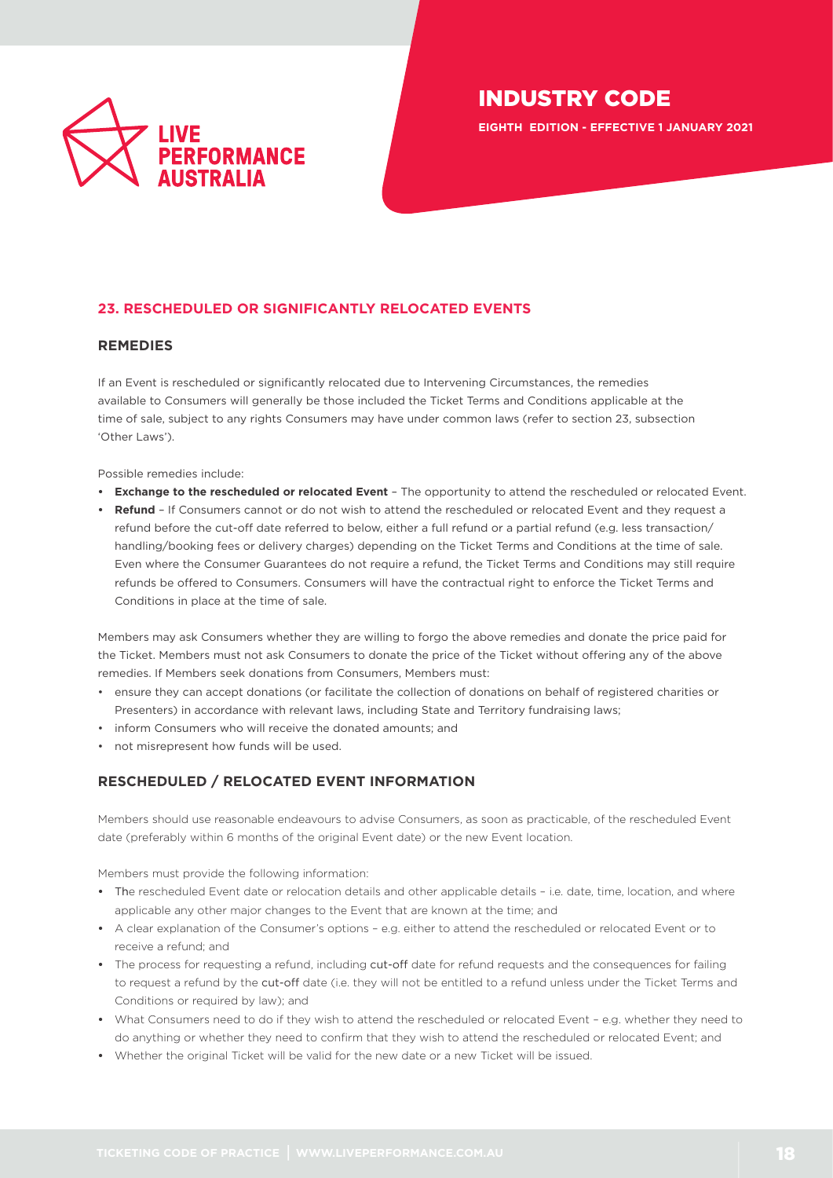

**EIGHTH EDITION - EFFECTIVE 1 JANUARY 2021**

## <span id="page-17-0"></span>**23. RESCHEDULED OR SIGNIFICANTLY RELOCATED EVENTS**

#### **REMEDIES**

If an Event is rescheduled or significantly relocated due to Intervening Circumstances, the remedies available to Consumers will generally be those included the Ticket Terms and Conditions applicable at the time of sale, subject to any rights Consumers may have under common laws (refer to section 23, subsection 'Other Laws').

Possible remedies include:

- **• Exchange to the rescheduled or relocated Event** The opportunity to attend the rescheduled or relocated Event.
- **• Refund** If Consumers cannot or do not wish to attend the rescheduled or relocated Event and they request a refund before the cut-off date referred to below, either a full refund or a partial refund (e.g. less transaction/ handling/booking fees or delivery charges) depending on the Ticket Terms and Conditions at the time of sale. Even where the Consumer Guarantees do not require a refund, the Ticket Terms and Conditions may still require refunds be offered to Consumers. Consumers will have the contractual right to enforce the Ticket Terms and Conditions in place at the time of sale.

Members may ask Consumers whether they are willing to forgo the above remedies and donate the price paid for the Ticket. Members must not ask Consumers to donate the price of the Ticket without offering any of the above remedies. If Members seek donations from Consumers, Members must:

- ensure they can accept donations (or facilitate the collection of donations on behalf of registered charities or Presenters) in accordance with relevant laws, including State and Territory fundraising laws;
- inform Consumers who will receive the donated amounts; and
- not misrepresent how funds will be used.

## **RESCHEDULED / RELOCATED EVENT INFORMATION**

Members should use reasonable endeavours to advise Consumers, as soon as practicable, of the rescheduled Event date (preferably within 6 months of the original Event date) or the new Event location.

Members must provide the following information:

- **•** The rescheduled Event date or relocation details and other applicable details i.e. date, time, location, and where applicable any other major changes to the Event that are known at the time; and
- **•** A clear explanation of the Consumer's options e.g. either to attend the rescheduled or relocated Event or to receive a refund; and
- **•** The process for requesting a refund, including cut-off date for refund requests and the consequences for failing to request a refund by the cut-off date (i.e. they will not be entitled to a refund unless under the Ticket Terms and Conditions or required by law); and
- **•** What Consumers need to do if they wish to attend the rescheduled or relocated Event e.g. whether they need to do anything or whether they need to confirm that they wish to attend the rescheduled or relocated Event; and
- **•** Whether the original Ticket will be valid for the new date or a new Ticket will be issued.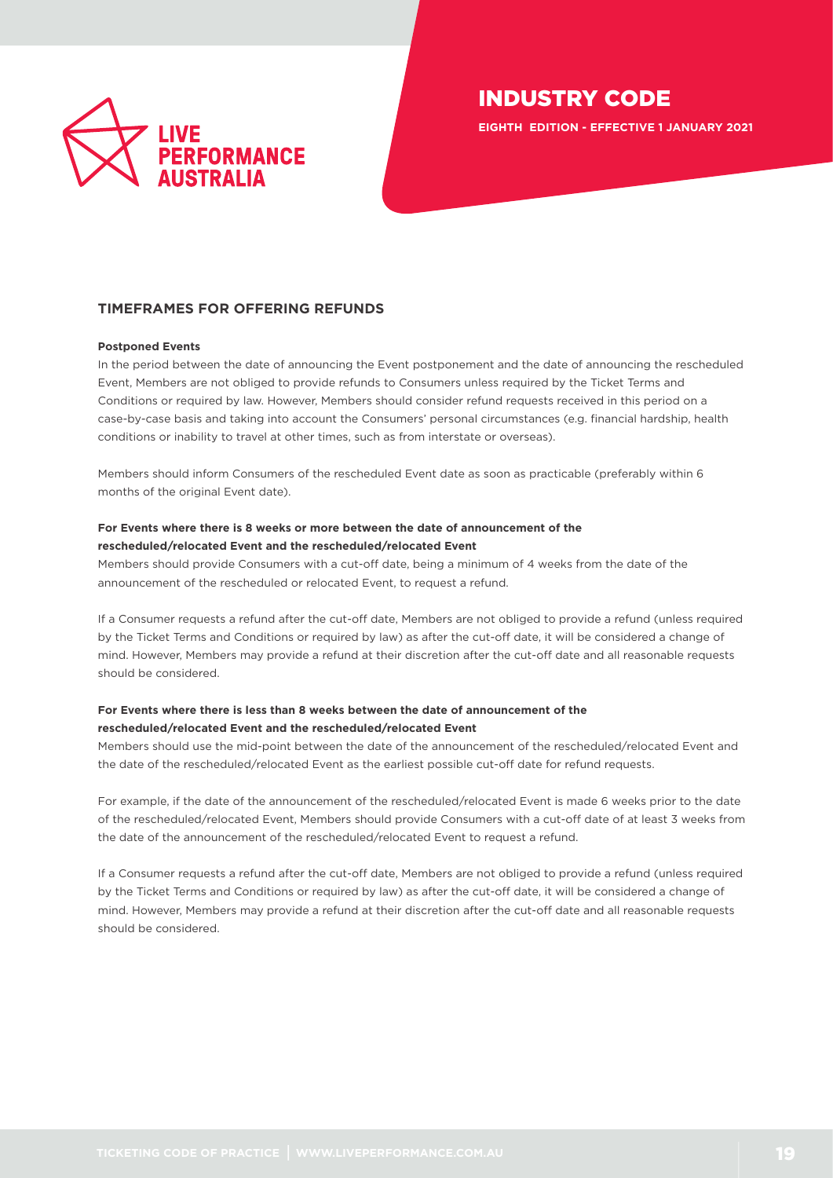

**EIGHTH EDITION - EFFECTIVE 1 JANUARY 2021**

## **TIMEFRAMES FOR OFFERING REFUNDS**

#### **Postponed Events**

In the period between the date of announcing the Event postponement and the date of announcing the rescheduled Event, Members are not obliged to provide refunds to Consumers unless required by the Ticket Terms and Conditions or required by law. However, Members should consider refund requests received in this period on a case-by-case basis and taking into account the Consumers' personal circumstances (e.g. financial hardship, health conditions or inability to travel at other times, such as from interstate or overseas).

Members should inform Consumers of the rescheduled Event date as soon as practicable (preferably within 6 months of the original Event date).

#### **For Events where there is 8 weeks or more between the date of announcement of the rescheduled/relocated Event and the rescheduled/relocated Event**

Members should provide Consumers with a cut-off date, being a minimum of 4 weeks from the date of the announcement of the rescheduled or relocated Event, to request a refund.

If a Consumer requests a refund after the cut-off date, Members are not obliged to provide a refund (unless required by the Ticket Terms and Conditions or required by law) as after the cut-off date, it will be considered a change of mind. However, Members may provide a refund at their discretion after the cut-off date and all reasonable requests should be considered.

## **For Events where there is less than 8 weeks between the date of announcement of the rescheduled/relocated Event and the rescheduled/relocated Event**

Members should use the mid-point between the date of the announcement of the rescheduled/relocated Event and the date of the rescheduled/relocated Event as the earliest possible cut-off date for refund requests.

For example, if the date of the announcement of the rescheduled/relocated Event is made 6 weeks prior to the date of the rescheduled/relocated Event, Members should provide Consumers with a cut-off date of at least 3 weeks from the date of the announcement of the rescheduled/relocated Event to request a refund.

If a Consumer requests a refund after the cut-off date, Members are not obliged to provide a refund (unless required by the Ticket Terms and Conditions or required by law) as after the cut-off date, it will be considered a change of mind. However, Members may provide a refund at their discretion after the cut-off date and all reasonable requests should be considered.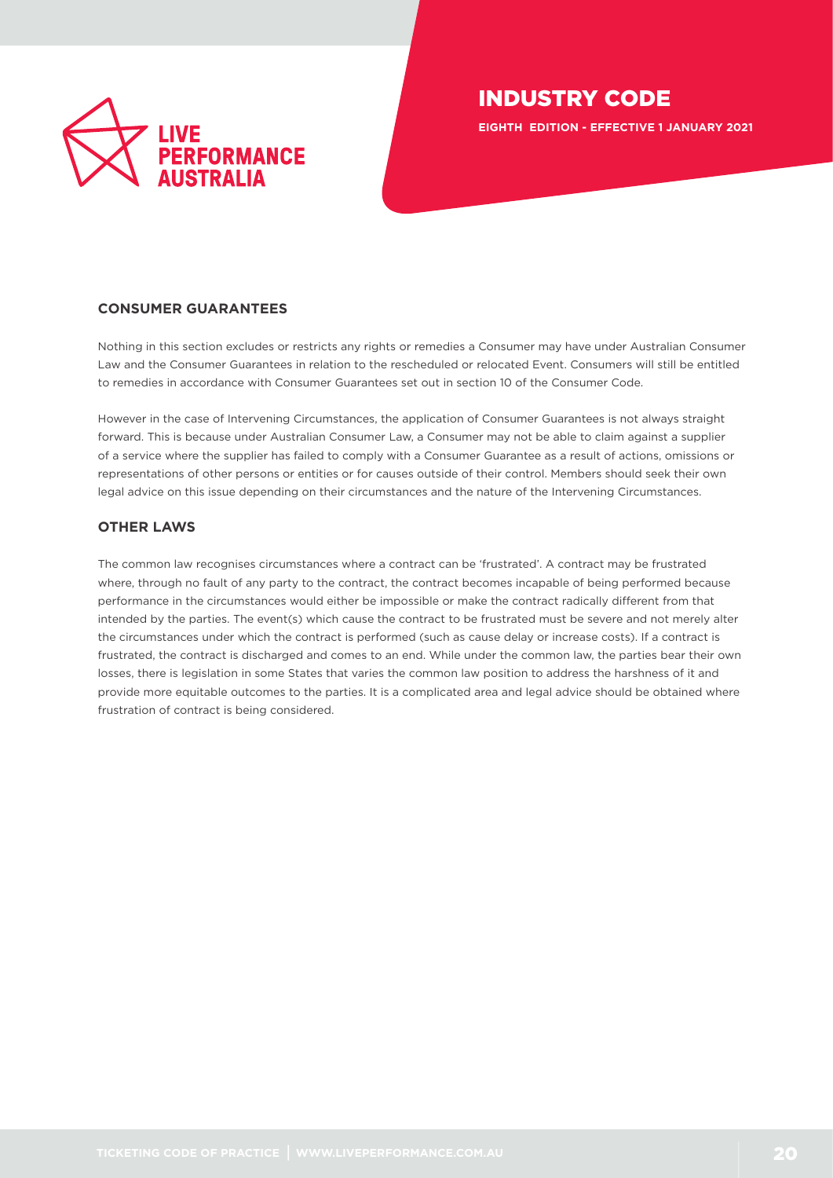

**EIGHTH EDITION - EFFECTIVE 1 JANUARY 2021**

## **CONSUMER GUARANTEES**

Nothing in this section excludes or restricts any rights or remedies a Consumer may have under Australian Consumer Law and the Consumer Guarantees in relation to the rescheduled or relocated Event. Consumers will still be entitled to remedies in accordance with Consumer Guarantees set out in section 10 of the Consumer Code.

However in the case of Intervening Circumstances, the application of Consumer Guarantees is not always straight forward. This is because under Australian Consumer Law, a Consumer may not be able to claim against a supplier of a service where the supplier has failed to comply with a Consumer Guarantee as a result of actions, omissions or representations of other persons or entities or for causes outside of their control. Members should seek their own legal advice on this issue depending on their circumstances and the nature of the Intervening Circumstances.

## **OTHER LAWS**

The common law recognises circumstances where a contract can be 'frustrated'. A contract may be frustrated where, through no fault of any party to the contract, the contract becomes incapable of being performed because performance in the circumstances would either be impossible or make the contract radically different from that intended by the parties. The event(s) which cause the contract to be frustrated must be severe and not merely alter the circumstances under which the contract is performed (such as cause delay or increase costs). If a contract is frustrated, the contract is discharged and comes to an end. While under the common law, the parties bear their own losses, there is legislation in some States that varies the common law position to address the harshness of it and provide more equitable outcomes to the parties. It is a complicated area and legal advice should be obtained where frustration of contract is being considered.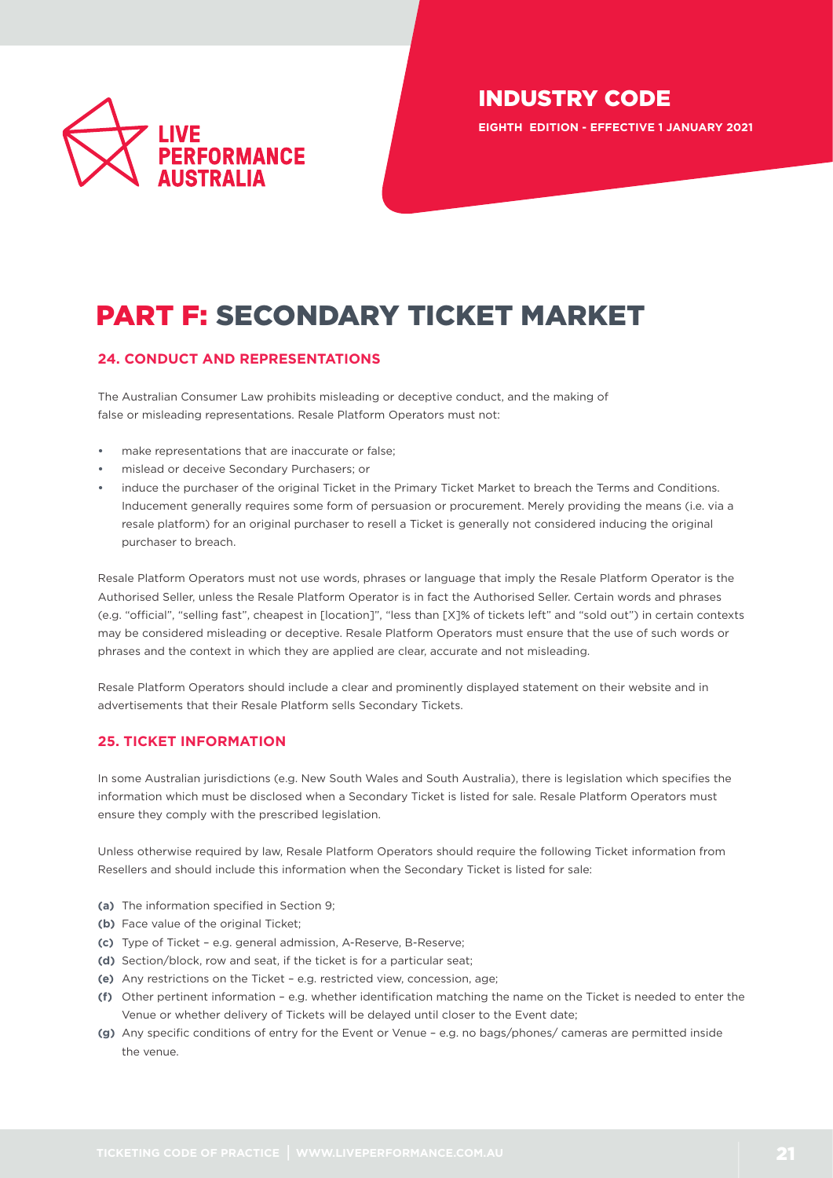

**EIGHTH EDITION - EFFECTIVE 1 JANUARY 2021**

# PART F: SECONDARY TICKET MARKET

## <span id="page-20-0"></span>**24. CONDUCT AND REPRESENTATIONS**

The Australian Consumer Law prohibits misleading or deceptive conduct, and the making of false or misleading representations. Resale Platform Operators must not:

- make representations that are inaccurate or false;
- **•** mislead or deceive Secondary Purchasers; or
- **•** induce the purchaser of the original Ticket in the Primary Ticket Market to breach the Terms and Conditions. Inducement generally requires some form of persuasion or procurement. Merely providing the means (i.e. via a resale platform) for an original purchaser to resell a Ticket is generally not considered inducing the original purchaser to breach.

Resale Platform Operators must not use words, phrases or language that imply the Resale Platform Operator is the Authorised Seller, unless the Resale Platform Operator is in fact the Authorised Seller. Certain words and phrases (e.g. "official", "selling fast", cheapest in [location]", "less than [X]% of tickets left" and "sold out") in certain contexts may be considered misleading or deceptive. Resale Platform Operators must ensure that the use of such words or phrases and the context in which they are applied are clear, accurate and not misleading.

Resale Platform Operators should include a clear and prominently displayed statement on their website and in advertisements that their Resale Platform sells Secondary Tickets.

## <span id="page-20-1"></span>**25. TICKET INFORMATION**

In some Australian jurisdictions (e.g. New South Wales and South Australia), there is legislation which specifies the information which must be disclosed when a Secondary Ticket is listed for sale. Resale Platform Operators must ensure they comply with the prescribed legislation.

Unless otherwise required by law, Resale Platform Operators should require the following Ticket information from Resellers and should include this information when the Secondary Ticket is listed for sale:

- **(a)** The information specified in Section 9;
- **(b)** Face value of the original Ticket;
- **(c)** Type of Ticket e.g. general admission, A-Reserve, B-Reserve;
- **(d)** Section/block, row and seat, if the ticket is for a particular seat;
- **(e)** Any restrictions on the Ticket e.g. restricted view, concession, age;
- **(f)** Other pertinent information e.g. whether identification matching the name on the Ticket is needed to enter the Venue or whether delivery of Tickets will be delayed until closer to the Event date;
- **(g)** Any specific conditions of entry for the Event or Venue e.g. no bags/phones/ cameras are permitted inside the venue.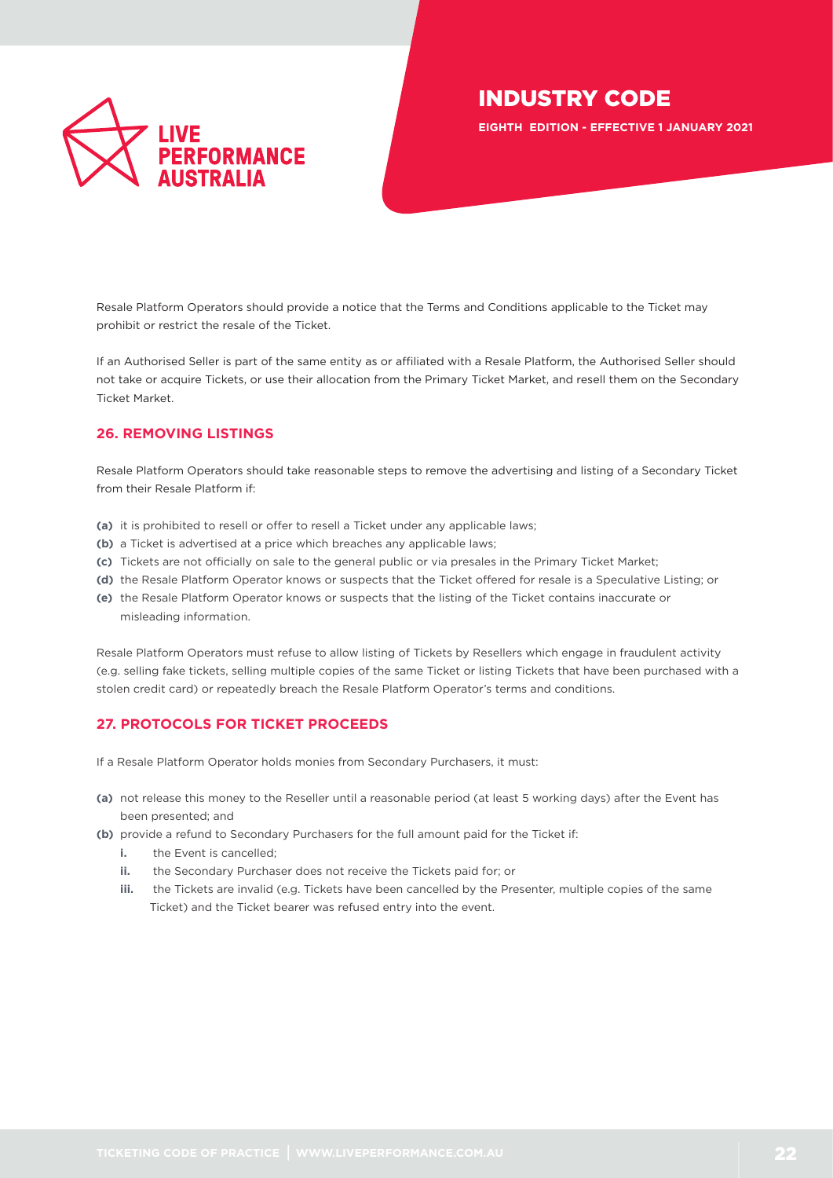

**EIGHTH EDITION - EFFECTIVE 1 JANUARY 2021**

Resale Platform Operators should provide a notice that the Terms and Conditions applicable to the Ticket may prohibit or restrict the resale of the Ticket.

If an Authorised Seller is part of the same entity as or affiliated with a Resale Platform, the Authorised Seller should not take or acquire Tickets, or use their allocation from the Primary Ticket Market, and resell them on the Secondary Ticket Market.

## <span id="page-21-0"></span>**26. REMOVING LISTINGS**

Resale Platform Operators should take reasonable steps to remove the advertising and listing of a Secondary Ticket from their Resale Platform if:

- **(a)** it is prohibited to resell or offer to resell a Ticket under any applicable laws;
- **(b)** a Ticket is advertised at a price which breaches any applicable laws;
- **(c)** Tickets are not officially on sale to the general public or via presales in the Primary Ticket Market;
- **(d)** the Resale Platform Operator knows or suspects that the Ticket offered for resale is a Speculative Listing; or
- **(e)** the Resale Platform Operator knows or suspects that the listing of the Ticket contains inaccurate or misleading information.

Resale Platform Operators must refuse to allow listing of Tickets by Resellers which engage in fraudulent activity (e.g. selling fake tickets, selling multiple copies of the same Ticket or listing Tickets that have been purchased with a stolen credit card) or repeatedly breach the Resale Platform Operator's terms and conditions.

## <span id="page-21-1"></span>**27. PROTOCOLS FOR TICKET PROCEEDS**

If a Resale Platform Operator holds monies from Secondary Purchasers, it must:

- **(a)** not release this money to the Reseller until a reasonable period (at least 5 working days) after the Event has been presented; and
- **(b)** provide a refund to Secondary Purchasers for the full amount paid for the Ticket if:
	- **i.** the Event is cancelled:
	- **ii.** the Secondary Purchaser does not receive the Tickets paid for; or
	- **iii.** the Tickets are invalid (e.g. Tickets have been cancelled by the Presenter, multiple copies of the same Ticket) and the Ticket bearer was refused entry into the event.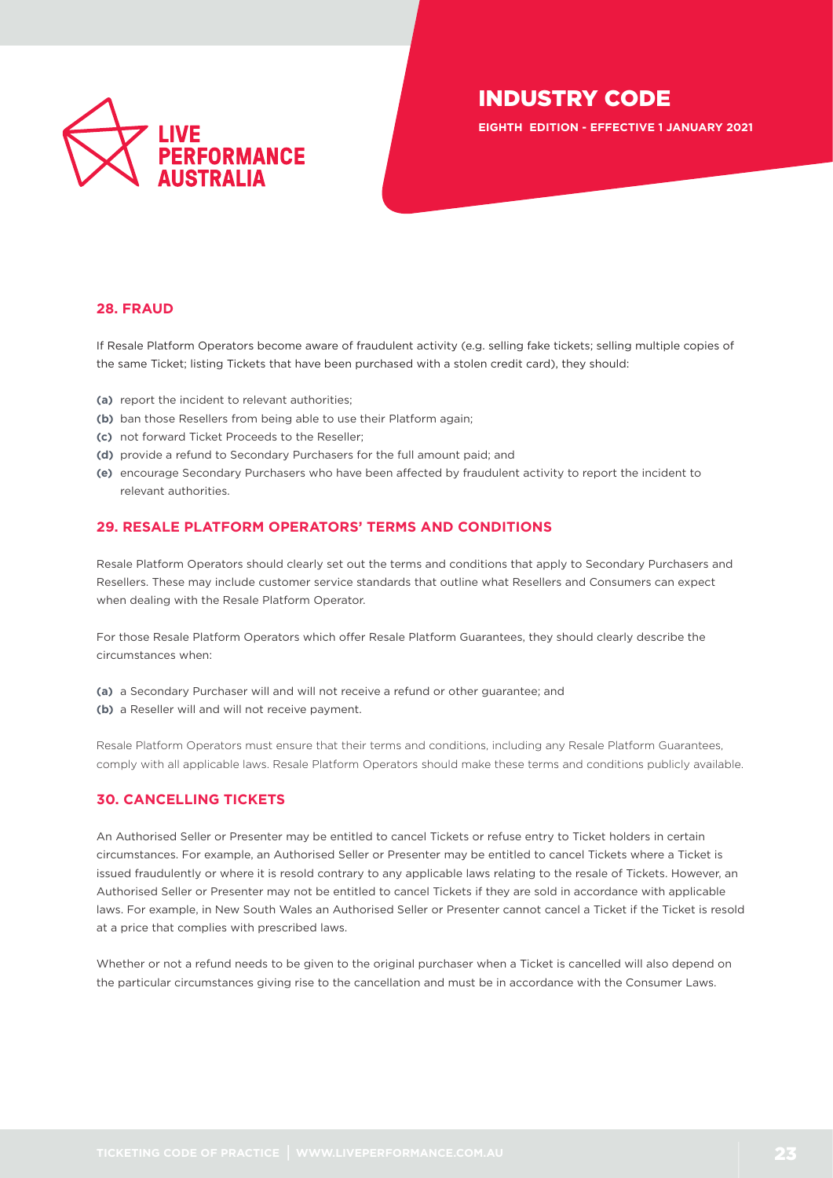

**EIGHTH EDITION - EFFECTIVE 1 JANUARY 2021**

## <span id="page-22-0"></span>**28. FRAUD**

If Resale Platform Operators become aware of fraudulent activity (e.g. selling fake tickets; selling multiple copies of the same Ticket; listing Tickets that have been purchased with a stolen credit card), they should:

- **(a)** report the incident to relevant authorities;
- **(b)** ban those Resellers from being able to use their Platform again;
- **(c)** not forward Ticket Proceeds to the Reseller;
- **(d)** provide a refund to Secondary Purchasers for the full amount paid; and
- **(e)** encourage Secondary Purchasers who have been affected by fraudulent activity to report the incident to relevant authorities.

## **29. RESALE PLATFORM OPERATORS' TERMS AND CONDITIONS**

Resale Platform Operators should clearly set out the terms and conditions that apply to Secondary Purchasers and Resellers. These may include customer service standards that outline what Resellers and Consumers can expect when dealing with the Resale Platform Operator.

For those Resale Platform Operators which offer Resale Platform Guarantees, they should clearly describe the circumstances when:

- **(a)** a Secondary Purchaser will and will not receive a refund or other guarantee; and
- **(b)** a Reseller will and will not receive payment.

Resale Platform Operators must ensure that their terms and conditions, including any Resale Platform Guarantees, comply with all applicable laws. Resale Platform Operators should make these terms and conditions publicly available.

## <span id="page-22-1"></span>**30. CANCELLING TICKETS**

An Authorised Seller or Presenter may be entitled to cancel Tickets or refuse entry to Ticket holders in certain circumstances. For example, an Authorised Seller or Presenter may be entitled to cancel Tickets where a Ticket is issued fraudulently or where it is resold contrary to any applicable laws relating to the resale of Tickets. However, an Authorised Seller or Presenter may not be entitled to cancel Tickets if they are sold in accordance with applicable laws. For example, in New South Wales an Authorised Seller or Presenter cannot cancel a Ticket if the Ticket is resold at a price that complies with prescribed laws.

Whether or not a refund needs to be given to the original purchaser when a Ticket is cancelled will also depend on the particular circumstances giving rise to the cancellation and must be in accordance with the Consumer Laws.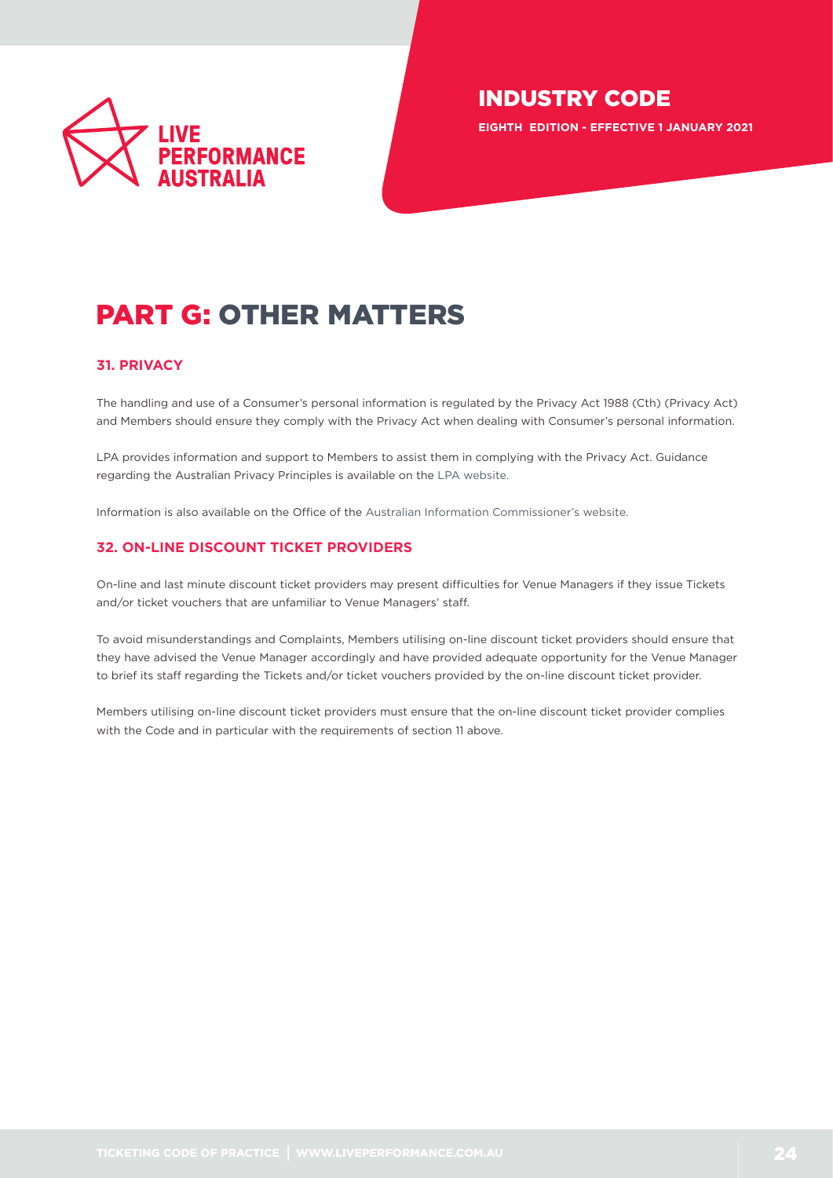

**EIGHTH EDITION - EFFECTIVE 1 JANUARY 2021**

# PART G: OTHER MATTERS

## <span id="page-23-0"></span>**31. PRIVACY**

The handling and use of a Consumer's personal information is regulated by the Privacy Act 1988 (Cth) (Privacy Act) and Members should ensure they comply with the Privacy Act when dealing with Consumer's personal information.

LPA provides information and support to Members to assist them in complying with the Privacy Act. Guidance regarding the Australian Privacy Principles is available on the [LPA website.](https://liveperformance.com.au/resource?cat%5B%5D=1092)

Information is also available on the Office of the [Australian Information Commissioner's website.](https://www.oaic.gov.au)

## <span id="page-23-1"></span>**32. ON-LINE DISCOUNT TICKET PROVIDERS**

On-line and last minute discount ticket providers may present difficulties for Venue Managers if they issue Tickets and/or ticket vouchers that are unfamiliar to Venue Managers' staff.

To avoid misunderstandings and Complaints, Members utilising on-line discount ticket providers should ensure that they have advised the Venue Manager accordingly and have provided adequate opportunity for the Venue Manager to brief its staff regarding the Tickets and/or ticket vouchers provided by the on-line discount ticket provider.

Members utilising on-line discount ticket providers must ensure that the on-line discount ticket provider complies with the Code and in particular with the requirements of section 11 above.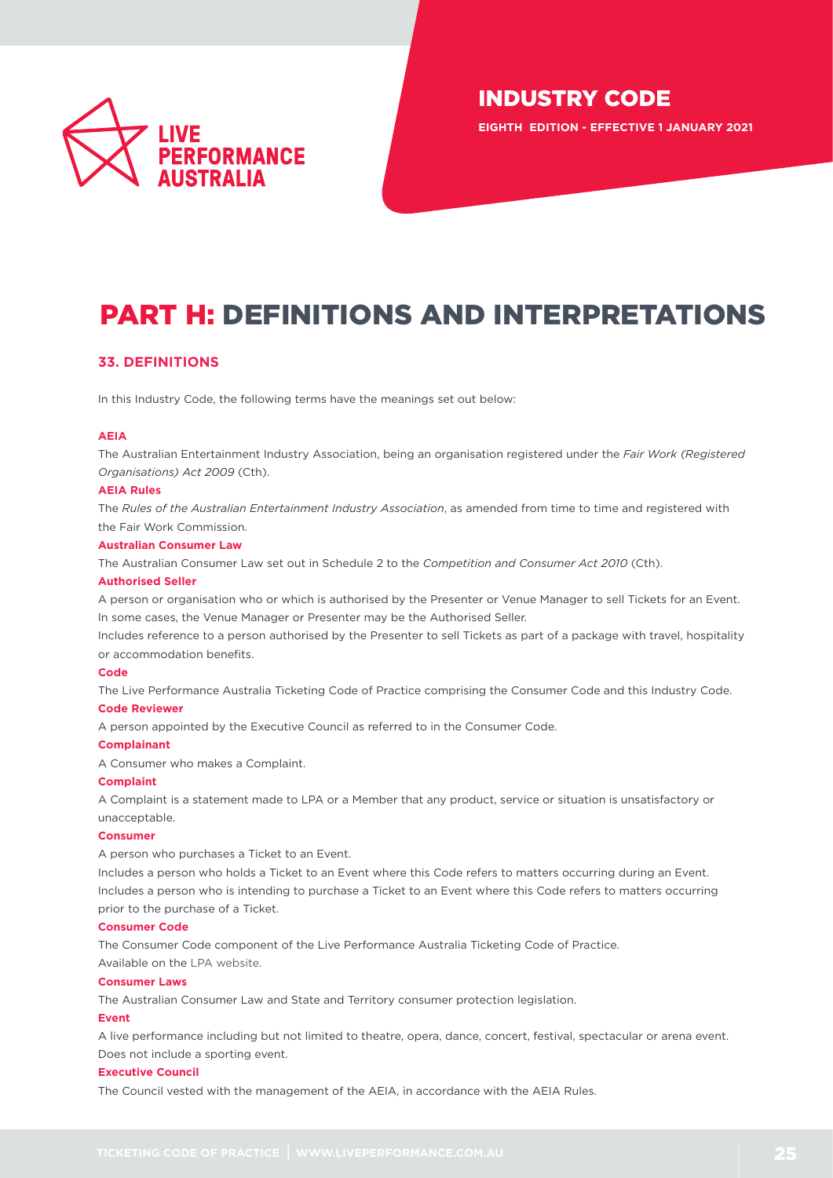

**EIGHTH EDITION - EFFECTIVE 1 JANUARY 2021**

# PART H: DEFINITIONS AND INTERPRETATIONS

## <span id="page-24-0"></span>**33. DEFINITIONS**

In this Industry Code, the following terms have the meanings set out below:

#### **AEIA**

The Australian Entertainment Industry Association, being an organisation registered under the *Fair Work (Registered Organisations) Act 2009* (Cth).

#### **AEIA Rules**

The *[Rules of the Australian Entertainment Industry Association](http://www.liveperformance.com.au)*, as amended from time to time and registered with the Fair Work Commission.

#### **Australian Consumer Law**

The Australian Consumer Law set out in Schedule 2 to the *Competition and Consumer Act 2010* (Cth).

#### **Authorised Seller**

A person or organisation who or which is authorised by the Presenter or Venue Manager to sell Tickets for an Event. In some cases, the Venue Manager or Presenter may be the Authorised Seller.

Includes reference to a person authorised by the Presenter to sell Tickets as part of a package with travel, hospitality or accommodation benefits.

#### **Code**

The Live Performance Australia Ticketing Code of Practice comprising the Consumer Code and this Industry Code.

## **Code Reviewer**

A person appointed by the Executive Council as referred to in the Consumer Code.

#### **Complainant**

A Consumer who makes a Complaint.

#### **Complaint**

A Complaint is a statement made to LPA or a Member that any product, service or situation is unsatisfactory or unacceptable.

#### **Consumer**

A person who purchases a Ticket to an Event.

Includes a person who holds a Ticket to an Event where this Code refers to matters occurring during an Event. Includes a person who is intending to purchase a Ticket to an Event where this Code refers to matters occurring prior to the purchase of a Ticket.

#### **Consumer Code**

The Consumer Code component of the Live Performance Australia Ticketing Code of Practice. Available on the [LPA website.](https://liveperformance.com.au/resources/?type=919&cat%5B%5D=1086)

#### **Consumer Laws**

The Australian Consumer Law and State and Territory consumer protection legislation.

#### **Event**

A live performance including but not limited to theatre, opera, dance, concert, festival, spectacular or arena event. Does not include a sporting event.

#### **Executive Council**

The Council vested with the management of the AEIA, in accordance with the AEIA Rules.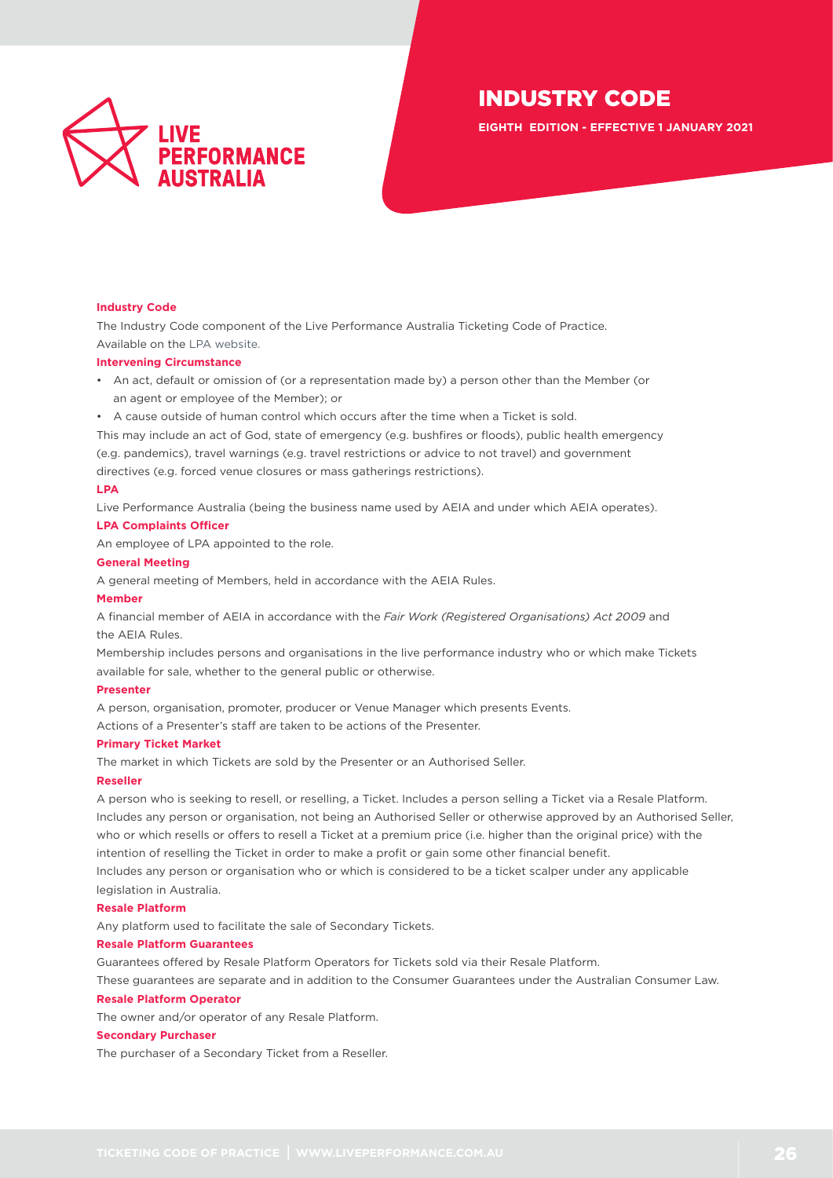

**EIGHTH EDITION - EFFECTIVE 1 JANUARY 2021**

#### **Industry Code**

The Industry Code component of the Live Performance Australia Ticketing Code of Practice. Available on the [LPA website.](https://liveperformance.com.au/resources/?type=919&cat%5B%5D=1086)

#### **Intervening Circumstance**

- An act, default or omission of (or a representation made by) a person other than the Member (or an agent or employee of the Member); or
- A cause outside of human control which occurs after the time when a Ticket is sold.

This may include an act of God, state of emergency (e.g. bushfires or floods), public health emergency (e.g. pandemics), travel warnings (e.g. travel restrictions or advice to not travel) and government directives (e.g. forced venue closures or mass gatherings restrictions).

#### **LPA**

Live Performance Australia (being the business name used by AEIA and under which AEIA operates).

#### **LPA Complaints Officer**

An employee of LPA appointed to the role.

#### **General Meeting**

A general meeting of Members, held in accordance with the AEIA Rules.

#### **Member**

A financial member of AEIA in accordance with the *Fair Work (Registered Organisations) Act 2009* and the AEIA Rules.

Membership includes persons and organisations in the live performance industry who or which make Tickets available for sale, whether to the general public or otherwise.

#### **Presenter**

A person, organisation, promoter, producer or Venue Manager which presents Events. Actions of a Presenter's staff are taken to be actions of the Presenter.

#### **Primary Ticket Market**

The market in which Tickets are sold by the Presenter or an Authorised Seller.

#### **Reseller**

A person who is seeking to resell, or reselling, a Ticket. Includes a person selling a Ticket via a Resale Platform. Includes any person or organisation, not being an Authorised Seller or otherwise approved by an Authorised Seller, who or which resells or offers to resell a Ticket at a premium price (i.e. higher than the original price) with the intention of reselling the Ticket in order to make a profit or gain some other financial benefit.

Includes any person or organisation who or which is considered to be a ticket scalper under any applicable legislation in Australia.

#### **Resale Platform**

Any platform used to facilitate the sale of Secondary Tickets.

#### **Resale Platform Guarantees**

Guarantees offered by Resale Platform Operators for Tickets sold via their Resale Platform.

These guarantees are separate and in addition to the Consumer Guarantees under the Australian Consumer Law.

#### **Resale Platform Operator**

The owner and/or operator of any Resale Platform.

#### **Secondary Purchaser**

The purchaser of a Secondary Ticket from a Reseller.